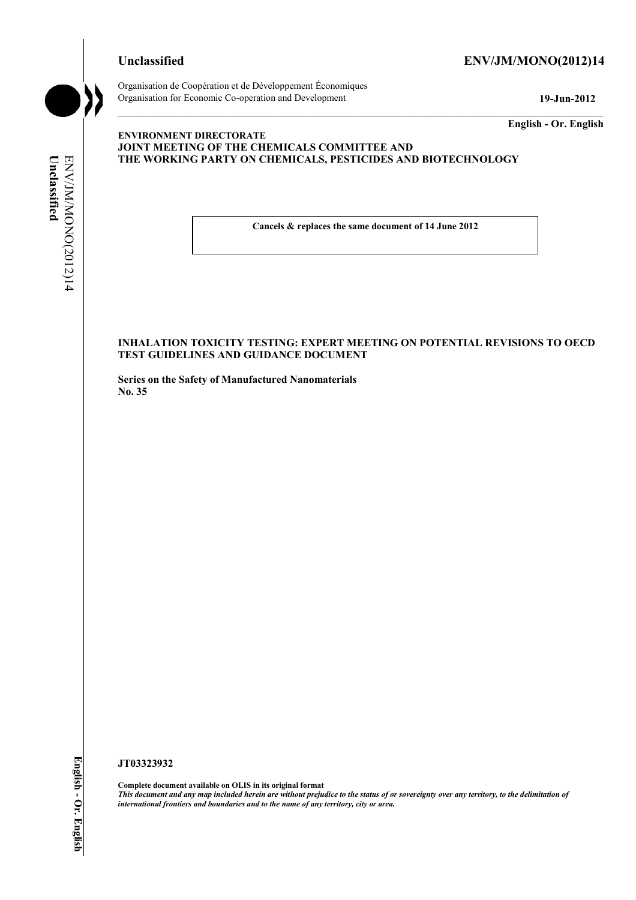### **Unclassified ENV/JM/MONO(2012)14**



**Unclassified** 

Unclassified

ENV/JM/MONO(2012)14

ENV/JM/MONO(2012)14

Organisation de Coopération et de Développement Économiques Organisation for Economic Co-operation and Development **19-Jun-2012** 

**English - Or. English** 

### **ENVIRONMENT DIRECTORATE JOINT MEETING OF THE CHEMICALS COMMITTEE AND THE WORKING PARTY ON CHEMICALS, PESTICIDES AND BIOTECHNOLOGY**

**Cancels & replaces the same document of 14 June 2012** 

#### **INHALATION TOXICITY TESTING: EXPERT MEETING ON POTENTIAL REVISIONS TO OECD TEST GUIDELINES AND GUIDANCE DOCUMENT**

**Series on the Safety of Manufactured Nanomaterials No. 35** 

**JT03323932** 

**Complete document available on OLIS in its original format** *This document and any map included herein are without prejudice to the status of or sovereignty over any territory, to the delimitation of international frontiers and boundaries and to the name of any territory, city or area.*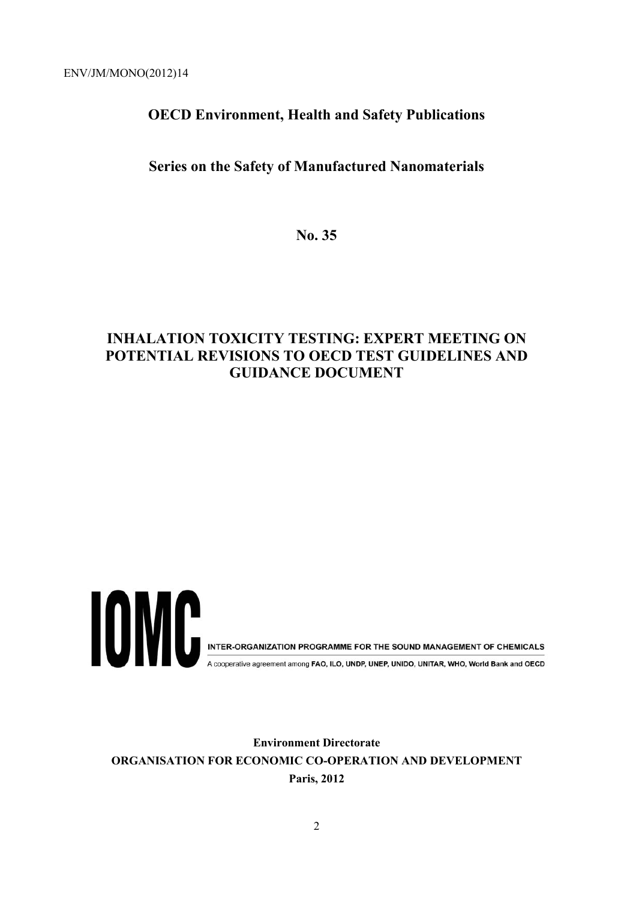## **OECD Environment, Health and Safety Publications**

**Series on the Safety of Manufactured Nanomaterials** 

**No. 35** 

## **INHALATION TOXICITY TESTING: EXPERT MEETING ON POTENTIAL REVISIONS TO OECD TEST GUIDELINES AND GUIDANCE DOCUMENT**



**Environment Directorate ORGANISATION FOR ECONOMIC CO-OPERATION AND DEVELOPMENT Paris, 2012**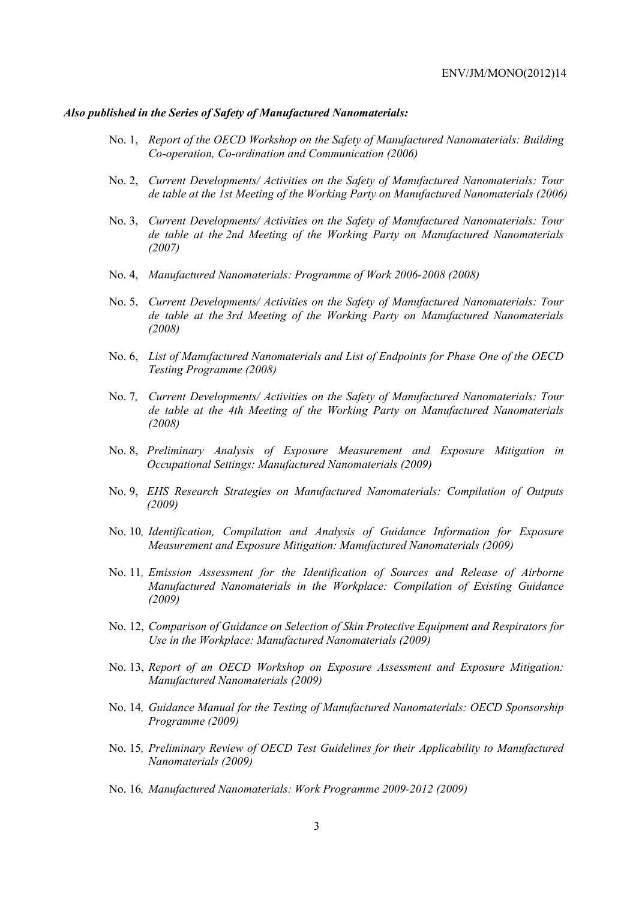#### *Also published in the Series of Safety of Manufactured Nanomaterials:*

- No. 1, *Report of the OECD Workshop on the Safety of Manufactured Nanomaterials: Building Co-operation, Co-ordination and Communication (2006)*
- No. 2, *Current Developments/ Activities on the Safety of Manufactured Nanomaterials: Tour de table at the 1st Meeting of the Working Party on Manufactured Nanomaterials (2006)*
- No. 3, *Current Developments/ Activities on the Safety of Manufactured Nanomaterials: Tour de table at the 2nd Meeting of the Working Party on Manufactured Nanomaterials (2007)*
- No. 4, *Manufactured Nanomaterials: Programme of Work 2006-2008 (2008)*
- No. 5, *Current Developments/ Activities on the Safety of Manufactured Nanomaterials: Tour de table at the 3rd Meeting of the Working Party on Manufactured Nanomaterials (2008)*
- No. 6, *List of Manufactured Nanomaterials and List of Endpoints for Phase One of the OECD Testing Programme (2008)*
- No. 7*, Current Developments/ Activities on the Safety of Manufactured Nanomaterials: Tour de table at the 4th Meeting of the Working Party on Manufactured Nanomaterials (2008)*
- No. 8, *Preliminary Analysis of Exposure Measurement and Exposure Mitigation in Occupational Settings: Manufactured Nanomaterials (2009)*
- No. 9, *EHS Research Strategies on Manufactured Nanomaterials: Compilation of Outputs (2009)*
- No. 10*, Identification, Compilation and Analysis of Guidance Information for Exposure Measurement and Exposure Mitigation: Manufactured Nanomaterials (2009)*
- No. 11*, Emission Assessment for the Identification of Sources and Release of Airborne Manufactured Nanomaterials in the Workplace: Compilation of Existing Guidance (2009)*
- No. 12, *Comparison of Guidance on Selection of Skin Protective Equipment and Respirators for Use in the Workplace: Manufactured Nanomaterials (2009)*
- No. 13, *Report of an OECD Workshop on Exposure Assessment and Exposure Mitigation: Manufactured Nanomaterials (2009)*
- No. 14*, Guidance Manual for the Testing of Manufactured Nanomaterials: OECD Sponsorship Programme (2009)*
- No. 15*, Preliminary Review of OECD Test Guidelines for their Applicability to Manufactured Nanomaterials (2009)*
- No. 16*, Manufactured Nanomaterials: Work Programme 2009-2012 (2009)*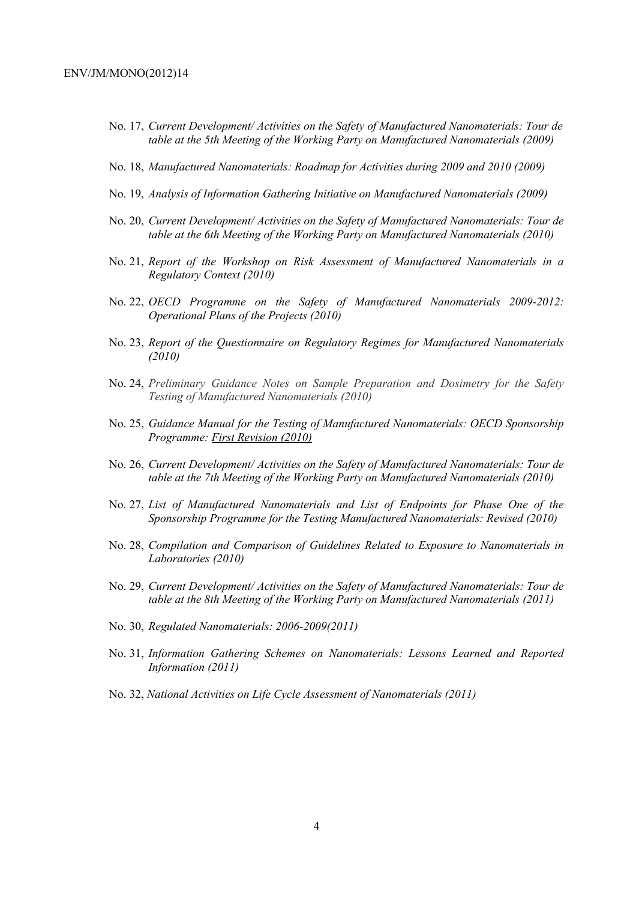- No. 17, *Current Development/ Activities on the Safety of Manufactured Nanomaterials: Tour de table at the 5th Meeting of the Working Party on Manufactured Nanomaterials (2009)*
- No. 18, *Manufactured Nanomaterials: Roadmap for Activities during 2009 and 2010 (2009)*
- No. 19, *Analysis of Information Gathering Initiative on Manufactured Nanomaterials (2009)*
- No. 20, *Current Development/ Activities on the Safety of Manufactured Nanomaterials: Tour de table at the 6th Meeting of the Working Party on Manufactured Nanomaterials (2010)*
- No. 21, *Report of the Workshop on Risk Assessment of Manufactured Nanomaterials in a Regulatory Context (2010)*
- No. 22, *OECD Programme on the Safety of Manufactured Nanomaterials 2009-2012: Operational Plans of the Projects (2010)*
- No. 23, *Report of the Questionnaire on Regulatory Regimes for Manufactured Nanomaterials (2010)*
- No. 24, *Preliminary Guidance Notes on Sample Preparation and Dosimetry for the Safety Testing of Manufactured Nanomaterials (2010)*
- No. 25, *Guidance Manual for the Testing of Manufactured Nanomaterials: OECD Sponsorship Programme: First Revision (2010)*
- No. 26, *Current Development/ Activities on the Safety of Manufactured Nanomaterials: Tour de table at the 7th Meeting of the Working Party on Manufactured Nanomaterials (2010)*
- No. 27, *List of Manufactured Nanomaterials and List of Endpoints for Phase One of the Sponsorship Programme for the Testing Manufactured Nanomaterials: Revised (2010)*
- No. 28, *Compilation and Comparison of Guidelines Related to Exposure to Nanomaterials in Laboratories (2010)*
- No. 29, *Current Development/ Activities on the Safety of Manufactured Nanomaterials: Tour de table at the 8th Meeting of the Working Party on Manufactured Nanomaterials (2011)*
- No. 30, *Regulated Nanomaterials: 2006-2009(2011)*
- No. 31, *Information Gathering Schemes on Nanomaterials: Lessons Learned and Reported Information (2011)*
- No. 32, *National Activities on Life Cycle Assessment of Nanomaterials (2011)*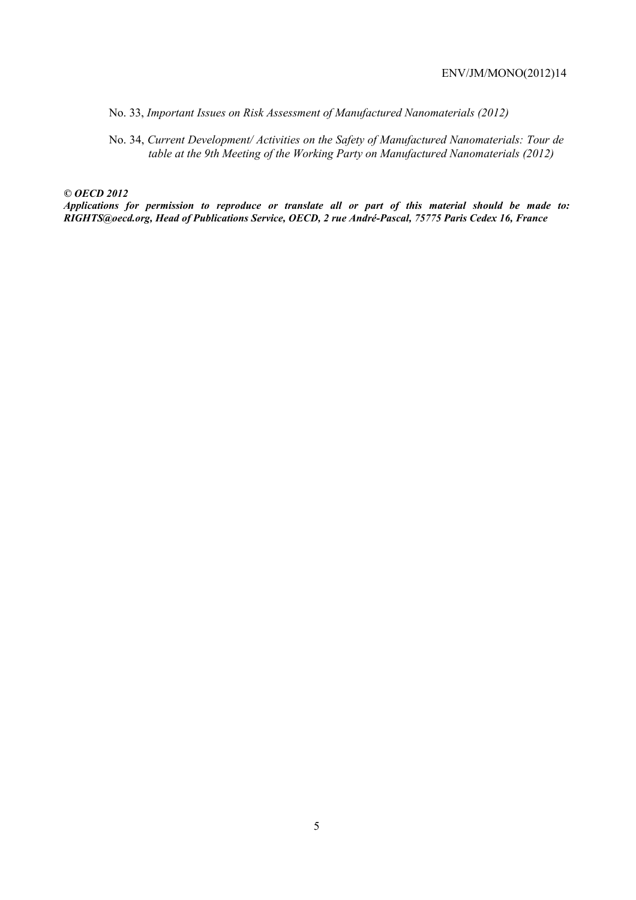No. 33, *Important Issues on Risk Assessment of Manufactured Nanomaterials (2012)* 

 No. 34, *Current Development/ Activities on the Safety of Manufactured Nanomaterials: Tour de table at the 9th Meeting of the Working Party on Manufactured Nanomaterials (2012)* 

*© OECD 2012* 

*Applications for permission to reproduce or translate all or part of this material should be made to: RIGHTS@oecd.org, Head of Publications Service, OECD, 2 rue André-Pascal, 75775 Paris Cedex 16, France*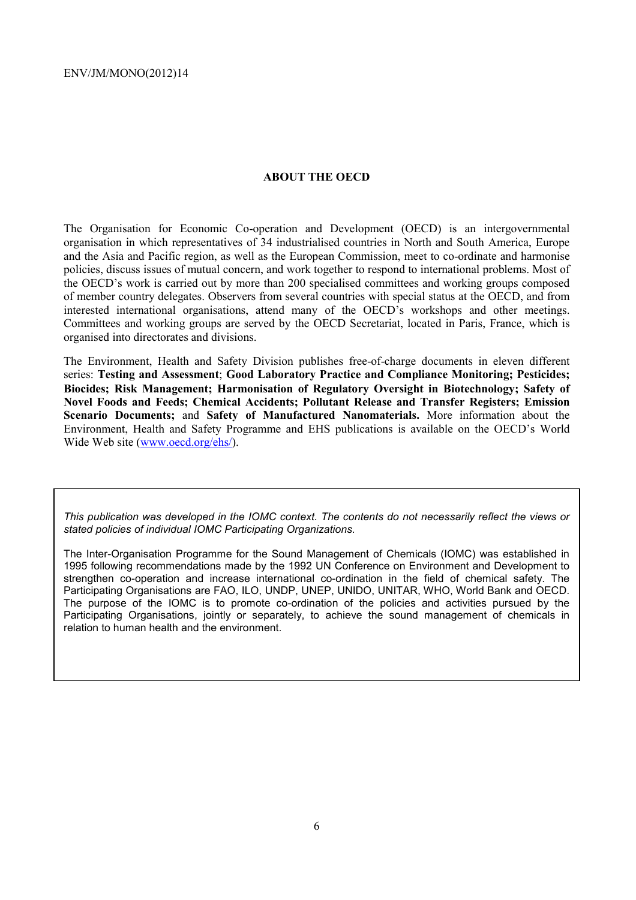### **ABOUT THE OECD**

The Organisation for Economic Co-operation and Development (OECD) is an intergovernmental organisation in which representatives of 34 industrialised countries in North and South America, Europe and the Asia and Pacific region, as well as the European Commission, meet to co-ordinate and harmonise policies, discuss issues of mutual concern, and work together to respond to international problems. Most of the OECD's work is carried out by more than 200 specialised committees and working groups composed of member country delegates. Observers from several countries with special status at the OECD, and from interested international organisations, attend many of the OECD's workshops and other meetings. Committees and working groups are served by the OECD Secretariat, located in Paris, France, which is organised into directorates and divisions.

The Environment, Health and Safety Division publishes free-of-charge documents in eleven different series: **Testing and Assessment**; **Good Laboratory Practice and Compliance Monitoring; Pesticides; Biocides; Risk Management; Harmonisation of Regulatory Oversight in Biotechnology; Safety of Novel Foods and Feeds; Chemical Accidents; Pollutant Release and Transfer Registers; Emission Scenario Documents;** and **Safety of Manufactured Nanomaterials.** More information about the Environment, Health and Safety Programme and EHS publications is available on the OECD's World Wide Web site (www.oecd.org/ehs/).

*This publication was developed in the IOMC context. The contents do not necessarily reflect the views or stated policies of individual IOMC Participating Organizations.* 

The Inter-Organisation Programme for the Sound Management of Chemicals (IOMC) was established in 1995 following recommendations made by the 1992 UN Conference on Environment and Development to strengthen co-operation and increase international co-ordination in the field of chemical safety. The Participating Organisations are FAO, ILO, UNDP, UNEP, UNIDO, UNITAR, WHO, World Bank and OECD. The purpose of the IOMC is to promote co-ordination of the policies and activities pursued by the Participating Organisations, jointly or separately, to achieve the sound management of chemicals in relation to human health and the environment.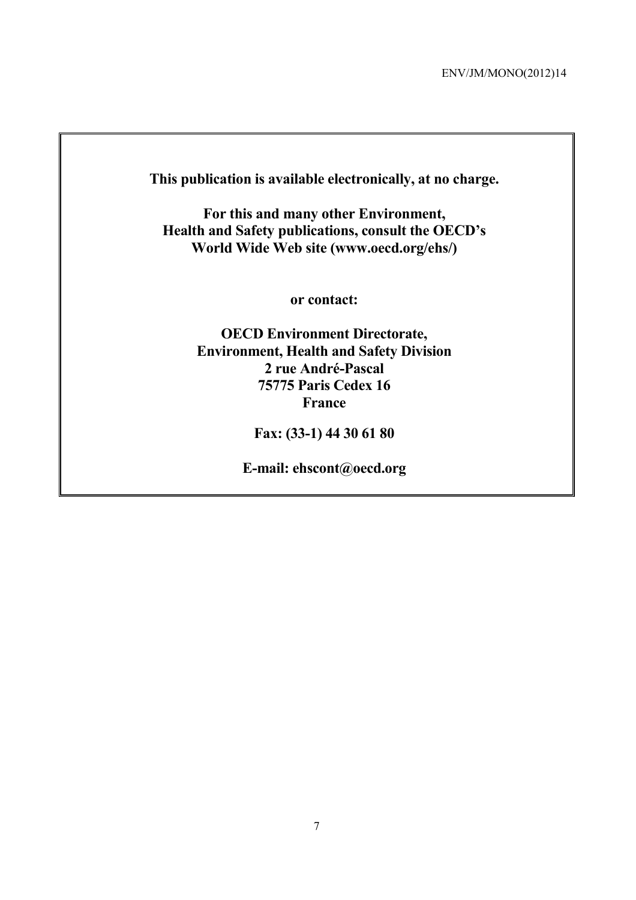**This publication is available electronically, at no charge.** 

**For this and many other Environment, Health and Safety publications, consult the OECD's World Wide Web site (www.oecd.org/ehs/)** 

**or contact:** 

**OECD Environment Directorate, Environment, Health and Safety Division 2 rue André-Pascal 75775 Paris Cedex 16 France** 

**Fax: (33-1) 44 30 61 80** 

**E-mail: ehscont@oecd.org**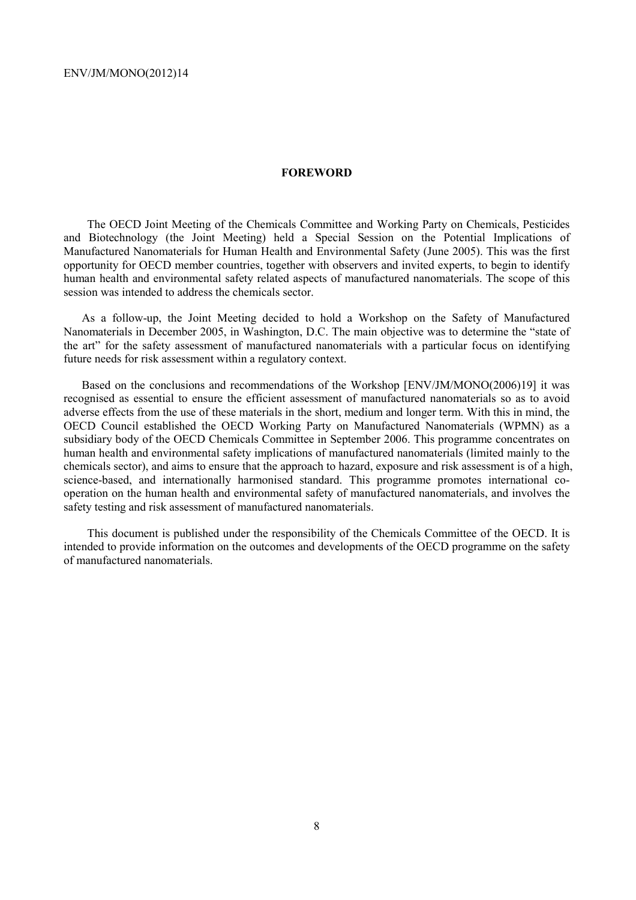### **FOREWORD**

The OECD Joint Meeting of the Chemicals Committee and Working Party on Chemicals, Pesticides and Biotechnology (the Joint Meeting) held a Special Session on the Potential Implications of Manufactured Nanomaterials for Human Health and Environmental Safety (June 2005). This was the first opportunity for OECD member countries, together with observers and invited experts, to begin to identify human health and environmental safety related aspects of manufactured nanomaterials. The scope of this session was intended to address the chemicals sector.

As a follow-up, the Joint Meeting decided to hold a Workshop on the Safety of Manufactured Nanomaterials in December 2005, in Washington, D.C. The main objective was to determine the "state of the art" for the safety assessment of manufactured nanomaterials with a particular focus on identifying future needs for risk assessment within a regulatory context.

Based on the conclusions and recommendations of the Workshop [ENV/JM/MONO(2006)19] it was recognised as essential to ensure the efficient assessment of manufactured nanomaterials so as to avoid adverse effects from the use of these materials in the short, medium and longer term. With this in mind, the OECD Council established the OECD Working Party on Manufactured Nanomaterials (WPMN) as a subsidiary body of the OECD Chemicals Committee in September 2006. This programme concentrates on human health and environmental safety implications of manufactured nanomaterials (limited mainly to the chemicals sector), and aims to ensure that the approach to hazard, exposure and risk assessment is of a high, science-based, and internationally harmonised standard. This programme promotes international cooperation on the human health and environmental safety of manufactured nanomaterials, and involves the safety testing and risk assessment of manufactured nanomaterials.

This document is published under the responsibility of the Chemicals Committee of the OECD. It is intended to provide information on the outcomes and developments of the OECD programme on the safety of manufactured nanomaterials.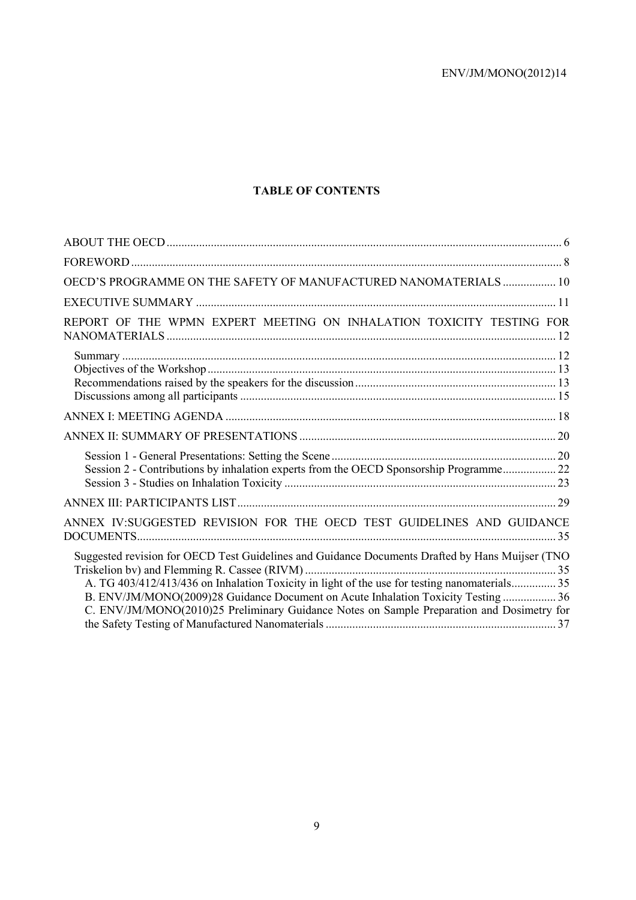### **TABLE OF CONTENTS**

| OECD'S PROGRAMME ON THE SAFETY OF MANUFACTURED NANOMATERIALS  10                                                                                                                                                                                                                                                                                                                   |  |
|------------------------------------------------------------------------------------------------------------------------------------------------------------------------------------------------------------------------------------------------------------------------------------------------------------------------------------------------------------------------------------|--|
|                                                                                                                                                                                                                                                                                                                                                                                    |  |
| REPORT OF THE WPMN EXPERT MEETING ON INHALATION TOXICITY TESTING FOR                                                                                                                                                                                                                                                                                                               |  |
|                                                                                                                                                                                                                                                                                                                                                                                    |  |
|                                                                                                                                                                                                                                                                                                                                                                                    |  |
|                                                                                                                                                                                                                                                                                                                                                                                    |  |
| Session 2 - Contributions by inhalation experts from the OECD Sponsorship Programme22                                                                                                                                                                                                                                                                                              |  |
|                                                                                                                                                                                                                                                                                                                                                                                    |  |
| ANNEX IV: SUGGESTED REVISION FOR THE OECD TEST GUIDELINES AND GUIDANCE                                                                                                                                                                                                                                                                                                             |  |
| Suggested revision for OECD Test Guidelines and Guidance Documents Drafted by Hans Muijser (TNO<br>A. TG 403/412/413/436 on Inhalation Toxicity in light of the use for testing nanomaterials 35<br>B. ENV/JM/MONO(2009)28 Guidance Document on Acute Inhalation Toxicity Testing  36<br>C. ENV/JM/MONO(2010)25 Preliminary Guidance Notes on Sample Preparation and Dosimetry for |  |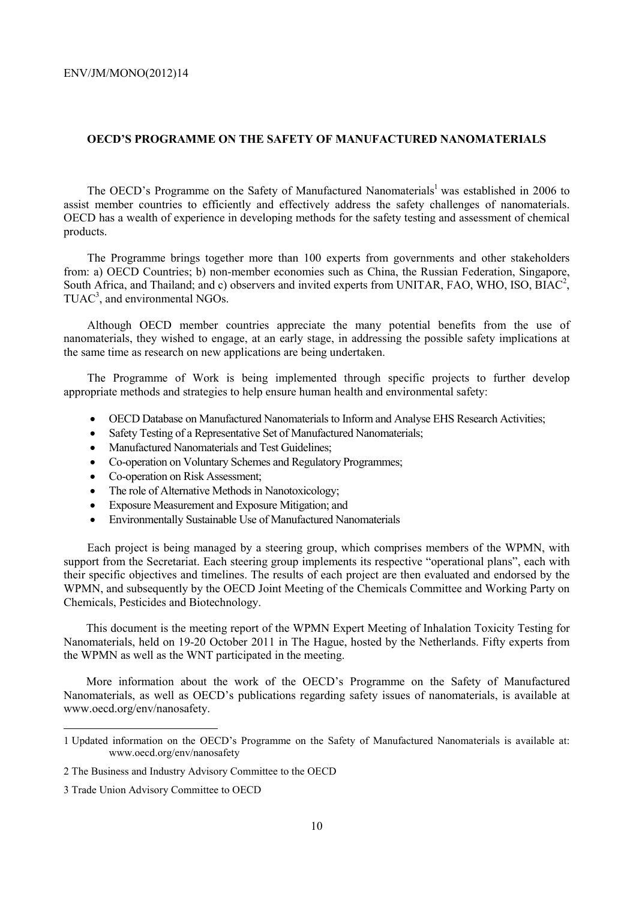### **OECD'S PROGRAMME ON THE SAFETY OF MANUFACTURED NANOMATERIALS**

The OECD's Programme on the Safety of Manufactured Nanomaterials<sup>1</sup> was established in 2006 to assist member countries to efficiently and effectively address the safety challenges of nanomaterials. OECD has a wealth of experience in developing methods for the safety testing and assessment of chemical products.

The Programme brings together more than 100 experts from governments and other stakeholders from: a) OECD Countries; b) non-member economies such as China, the Russian Federation, Singapore, South Africa, and Thailand; and c) observers and invited experts from UNITAR, FAO, WHO, ISO, BIAC<sup>2</sup>,  $TUAC<sup>3</sup>$ , and environmental NGOs.

Although OECD member countries appreciate the many potential benefits from the use of nanomaterials, they wished to engage, at an early stage, in addressing the possible safety implications at the same time as research on new applications are being undertaken.

The Programme of Work is being implemented through specific projects to further develop appropriate methods and strategies to help ensure human health and environmental safety:

- OECD Database on Manufactured Nanomaterials to Inform and Analyse EHS Research Activities;
- Safety Testing of a Representative Set of Manufactured Nanomaterials;
- Manufactured Nanomaterials and Test Guidelines;
- Co-operation on Voluntary Schemes and Regulatory Programmes;
- Co-operation on Risk Assessment;
- The role of Alternative Methods in Nanotoxicology;
- Exposure Measurement and Exposure Mitigation; and
- Environmentally Sustainable Use of Manufactured Nanomaterials

Each project is being managed by a steering group, which comprises members of the WPMN, with support from the Secretariat. Each steering group implements its respective "operational plans", each with their specific objectives and timelines. The results of each project are then evaluated and endorsed by the WPMN, and subsequently by the OECD Joint Meeting of the Chemicals Committee and Working Party on Chemicals, Pesticides and Biotechnology.

This document is the meeting report of the WPMN Expert Meeting of Inhalation Toxicity Testing for Nanomaterials, held on 19-20 October 2011 in The Hague, hosted by the Netherlands. Fifty experts from the WPMN as well as the WNT participated in the meeting.

More information about the work of the OECD's Programme on the Safety of Manufactured Nanomaterials, as well as OECD's publications regarding safety issues of nanomaterials, is available at www.oecd.org/env/nanosafety.

<sup>1</sup> Updated information on the OECD's Programme on the Safety of Manufactured Nanomaterials is available at: www.oecd.org/env/nanosafety

<sup>2</sup> The Business and Industry Advisory Committee to the OECD

<sup>3</sup> Trade Union Advisory Committee to OECD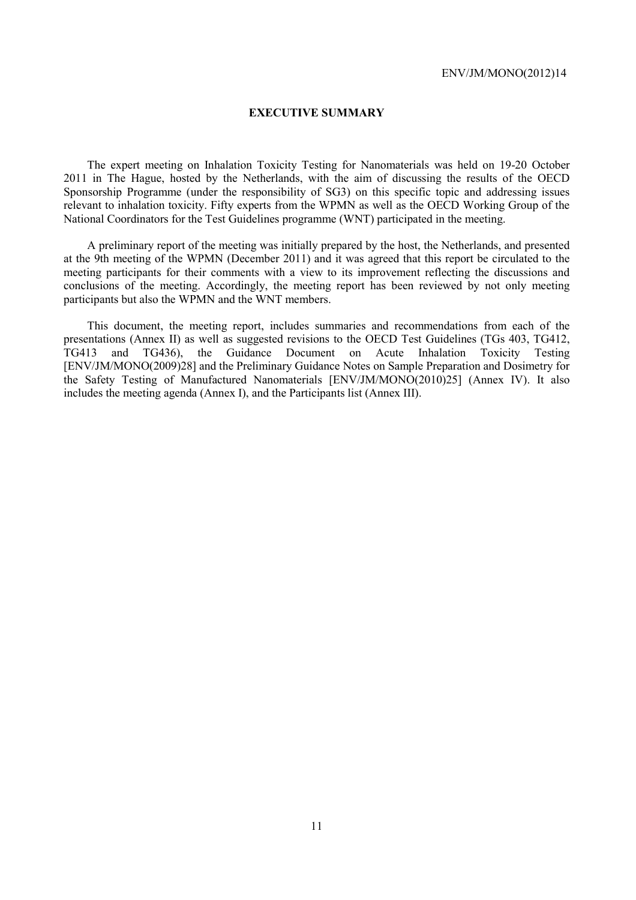### **EXECUTIVE SUMMARY**

The expert meeting on Inhalation Toxicity Testing for Nanomaterials was held on 19-20 October 2011 in The Hague, hosted by the Netherlands, with the aim of discussing the results of the OECD Sponsorship Programme (under the responsibility of SG3) on this specific topic and addressing issues relevant to inhalation toxicity. Fifty experts from the WPMN as well as the OECD Working Group of the National Coordinators for the Test Guidelines programme (WNT) participated in the meeting.

A preliminary report of the meeting was initially prepared by the host, the Netherlands, and presented at the 9th meeting of the WPMN (December 2011) and it was agreed that this report be circulated to the meeting participants for their comments with a view to its improvement reflecting the discussions and conclusions of the meeting. Accordingly, the meeting report has been reviewed by not only meeting participants but also the WPMN and the WNT members.

This document, the meeting report, includes summaries and recommendations from each of the presentations (Annex II) as well as suggested revisions to the OECD Test Guidelines (TGs 403, TG412, TG413 and TG436), the Guidance Document on Acute Inhalation Toxicity Testing [ENV/JM/MONO(2009)28] and the Preliminary Guidance Notes on Sample Preparation and Dosimetry for the Safety Testing of Manufactured Nanomaterials [ENV/JM/MONO(2010)25] (Annex IV). It also includes the meeting agenda (Annex I), and the Participants list (Annex III).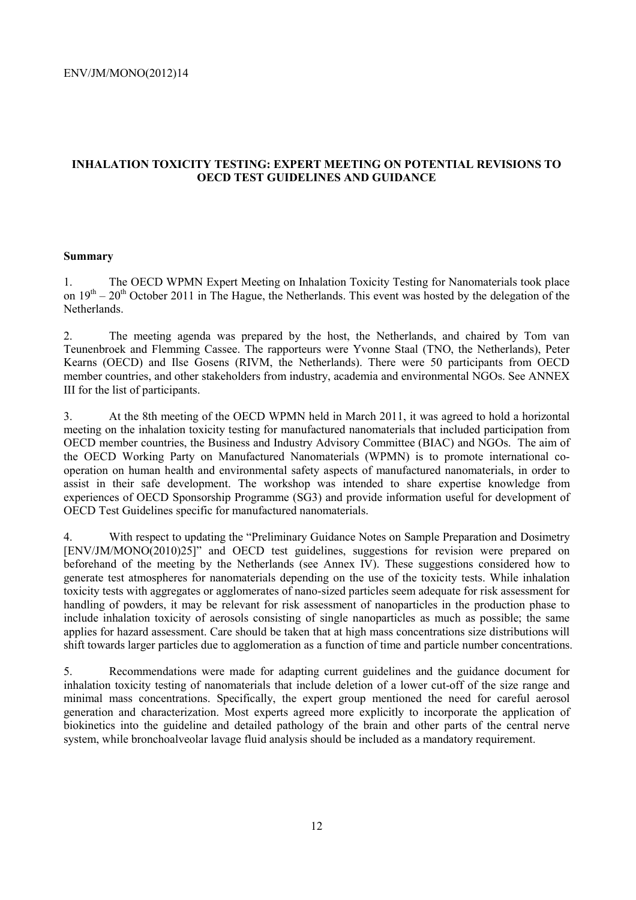### **INHALATION TOXICITY TESTING: EXPERT MEETING ON POTENTIAL REVISIONS TO OECD TEST GUIDELINES AND GUIDANCE**

### **Summary**

1. The OECD WPMN Expert Meeting on Inhalation Toxicity Testing for Nanomaterials took place on  $19<sup>th</sup> - 20<sup>th</sup>$  October 2011 in The Hague, the Netherlands. This event was hosted by the delegation of the Netherlands.

2. The meeting agenda was prepared by the host, the Netherlands, and chaired by Tom van Teunenbroek and Flemming Cassee. The rapporteurs were Yvonne Staal (TNO, the Netherlands), Peter Kearns (OECD) and Ilse Gosens (RIVM, the Netherlands). There were 50 participants from OECD member countries, and other stakeholders from industry, academia and environmental NGOs. See ANNEX III for the list of participants.

3. At the 8th meeting of the OECD WPMN held in March 2011, it was agreed to hold a horizontal meeting on the inhalation toxicity testing for manufactured nanomaterials that included participation from OECD member countries, the Business and Industry Advisory Committee (BIAC) and NGOs. The aim of the OECD Working Party on Manufactured Nanomaterials (WPMN) is to promote international cooperation on human health and environmental safety aspects of manufactured nanomaterials, in order to assist in their safe development. The workshop was intended to share expertise knowledge from experiences of OECD Sponsorship Programme (SG3) and provide information useful for development of OECD Test Guidelines specific for manufactured nanomaterials.

4. With respect to updating the "Preliminary Guidance Notes on Sample Preparation and Dosimetry [ENV/JM/MONO(2010)25]" and OECD test guidelines, suggestions for revision were prepared on beforehand of the meeting by the Netherlands (see Annex IV). These suggestions considered how to generate test atmospheres for nanomaterials depending on the use of the toxicity tests. While inhalation toxicity tests with aggregates or agglomerates of nano-sized particles seem adequate for risk assessment for handling of powders, it may be relevant for risk assessment of nanoparticles in the production phase to include inhalation toxicity of aerosols consisting of single nanoparticles as much as possible; the same applies for hazard assessment. Care should be taken that at high mass concentrations size distributions will shift towards larger particles due to agglomeration as a function of time and particle number concentrations.

5. Recommendations were made for adapting current guidelines and the guidance document for inhalation toxicity testing of nanomaterials that include deletion of a lower cut-off of the size range and minimal mass concentrations. Specifically, the expert group mentioned the need for careful aerosol generation and characterization. Most experts agreed more explicitly to incorporate the application of biokinetics into the guideline and detailed pathology of the brain and other parts of the central nerve system, while bronchoalveolar lavage fluid analysis should be included as a mandatory requirement.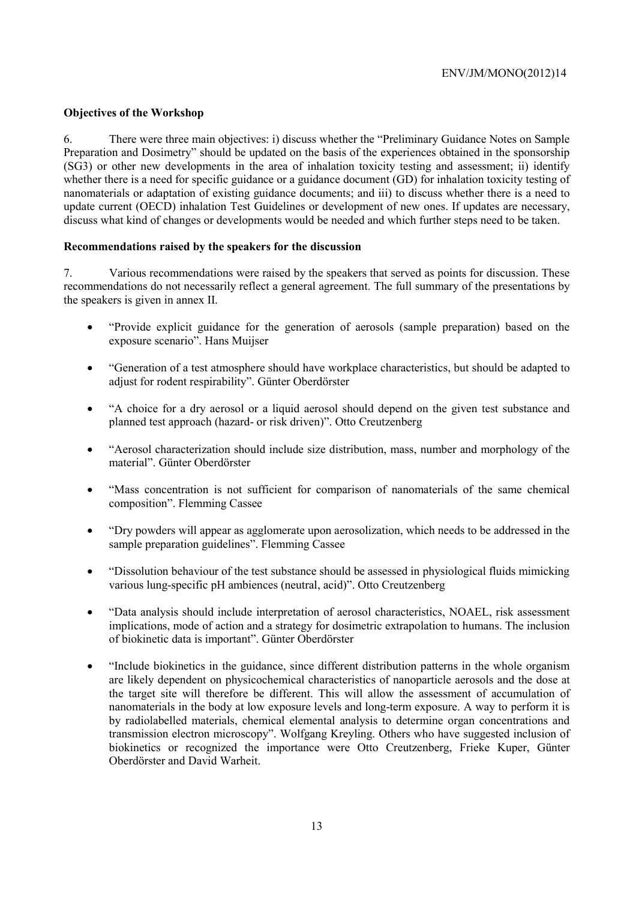### **Objectives of the Workshop**

6. There were three main objectives: i) discuss whether the "Preliminary Guidance Notes on Sample Preparation and Dosimetry" should be updated on the basis of the experiences obtained in the sponsorship (SG3) or other new developments in the area of inhalation toxicity testing and assessment; ii) identify whether there is a need for specific guidance or a guidance document (GD) for inhalation toxicity testing of nanomaterials or adaptation of existing guidance documents; and iii) to discuss whether there is a need to update current (OECD) inhalation Test Guidelines or development of new ones. If updates are necessary, discuss what kind of changes or developments would be needed and which further steps need to be taken.

### **Recommendations raised by the speakers for the discussion**

7. Various recommendations were raised by the speakers that served as points for discussion. These recommendations do not necessarily reflect a general agreement. The full summary of the presentations by the speakers is given in annex II.

- "Provide explicit guidance for the generation of aerosols (sample preparation) based on the exposure scenario". Hans Muijser
- "Generation of a test atmosphere should have workplace characteristics, but should be adapted to adjust for rodent respirability". Günter Oberdörster
- "A choice for a dry aerosol or a liquid aerosol should depend on the given test substance and planned test approach (hazard- or risk driven)". Otto Creutzenberg
- "Aerosol characterization should include size distribution, mass, number and morphology of the material". Günter Oberdörster
- "Mass concentration is not sufficient for comparison of nanomaterials of the same chemical composition". Flemming Cassee
- "Dry powders will appear as agglomerate upon aerosolization, which needs to be addressed in the sample preparation guidelines". Flemming Cassee
- "Dissolution behaviour of the test substance should be assessed in physiological fluids mimicking various lung-specific pH ambiences (neutral, acid)". Otto Creutzenberg
- "Data analysis should include interpretation of aerosol characteristics, NOAEL, risk assessment implications, mode of action and a strategy for dosimetric extrapolation to humans. The inclusion of biokinetic data is important". Günter Oberdörster
- "Include biokinetics in the guidance, since different distribution patterns in the whole organism are likely dependent on physicochemical characteristics of nanoparticle aerosols and the dose at the target site will therefore be different. This will allow the assessment of accumulation of nanomaterials in the body at low exposure levels and long-term exposure. A way to perform it is by radiolabelled materials, chemical elemental analysis to determine organ concentrations and transmission electron microscopy". Wolfgang Kreyling. Others who have suggested inclusion of biokinetics or recognized the importance were Otto Creutzenberg, Frieke Kuper, Günter Oberdörster and David Warheit.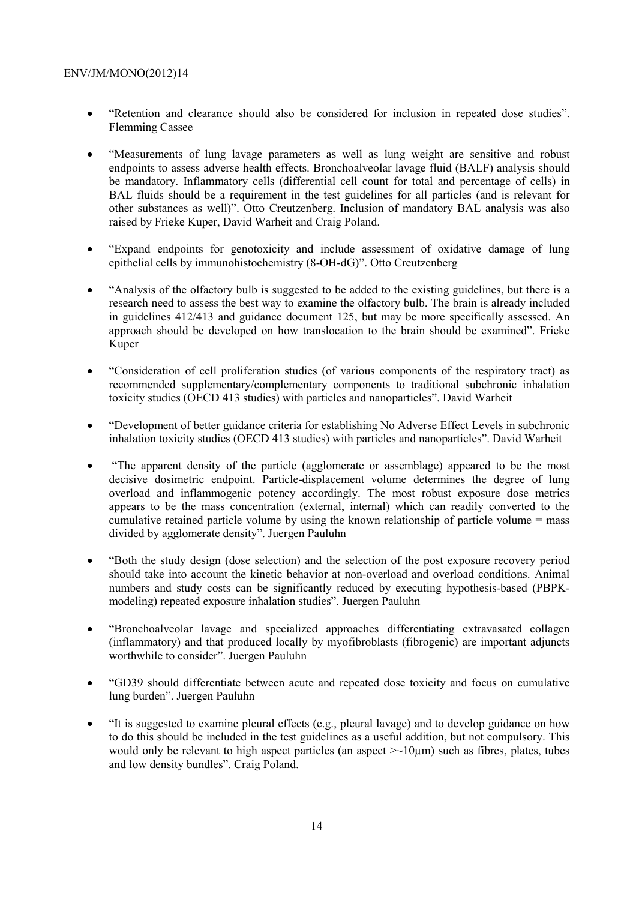- "Retention and clearance should also be considered for inclusion in repeated dose studies". Flemming Cassee
- "Measurements of lung lavage parameters as well as lung weight are sensitive and robust endpoints to assess adverse health effects. Bronchoalveolar lavage fluid (BALF) analysis should be mandatory. Inflammatory cells (differential cell count for total and percentage of cells) in BAL fluids should be a requirement in the test guidelines for all particles (and is relevant for other substances as well)". Otto Creutzenberg. Inclusion of mandatory BAL analysis was also raised by Frieke Kuper, David Warheit and Craig Poland.
- "Expand endpoints for genotoxicity and include assessment of oxidative damage of lung epithelial cells by immunohistochemistry (8-OH-dG)". Otto Creutzenberg
- "Analysis of the olfactory bulb is suggested to be added to the existing guidelines, but there is a research need to assess the best way to examine the olfactory bulb. The brain is already included in guidelines 412/413 and guidance document 125, but may be more specifically assessed. An approach should be developed on how translocation to the brain should be examined". Frieke Kuper
- "Consideration of cell proliferation studies (of various components of the respiratory tract) as recommended supplementary/complementary components to traditional subchronic inhalation toxicity studies (OECD 413 studies) with particles and nanoparticles". David Warheit
- "Development of better guidance criteria for establishing No Adverse Effect Levels in subchronic inhalation toxicity studies (OECD 413 studies) with particles and nanoparticles". David Warheit
- "The apparent density of the particle (agglomerate or assemblage) appeared to be the most decisive dosimetric endpoint. Particle-displacement volume determines the degree of lung overload and inflammogenic potency accordingly. The most robust exposure dose metrics appears to be the mass concentration (external, internal) which can readily converted to the cumulative retained particle volume by using the known relationship of particle volume = mass divided by agglomerate density". Juergen Pauluhn
- "Both the study design (dose selection) and the selection of the post exposure recovery period should take into account the kinetic behavior at non-overload and overload conditions. Animal numbers and study costs can be significantly reduced by executing hypothesis-based (PBPKmodeling) repeated exposure inhalation studies". Juergen Pauluhn
- "Bronchoalveolar lavage and specialized approaches differentiating extravasated collagen (inflammatory) and that produced locally by myofibroblasts (fibrogenic) are important adjuncts worthwhile to consider". Juergen Pauluhn
- "GD39 should differentiate between acute and repeated dose toxicity and focus on cumulative lung burden". Juergen Pauluhn
- "It is suggested to examine pleural effects (e.g., pleural lavage) and to develop guidance on how to do this should be included in the test guidelines as a useful addition, but not compulsory. This would only be relevant to high aspect particles (an aspect  $\gg 10\mu$ m) such as fibres, plates, tubes and low density bundles". Craig Poland.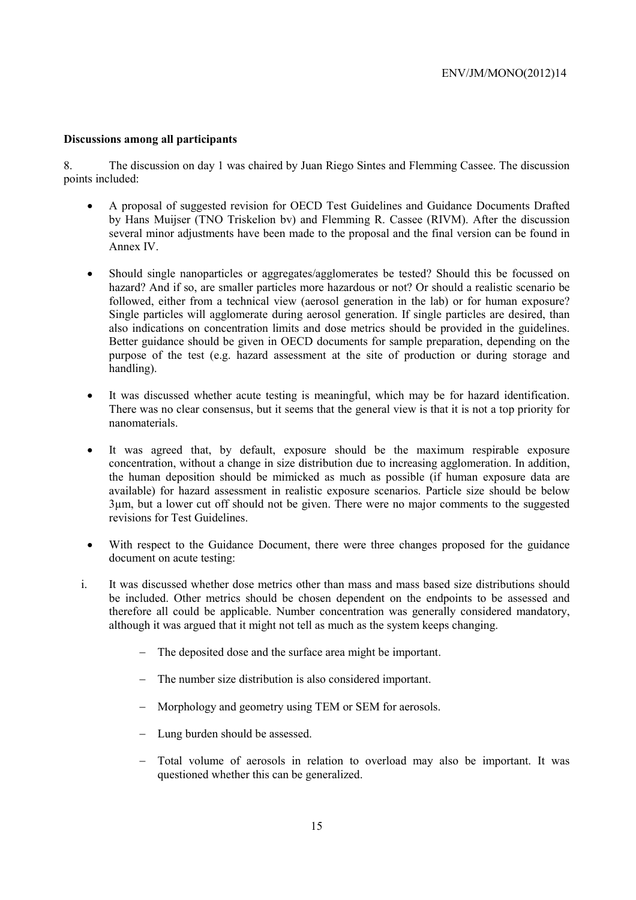### **Discussions among all participants**

8. The discussion on day 1 was chaired by Juan Riego Sintes and Flemming Cassee. The discussion points included:

- A proposal of suggested revision for OECD Test Guidelines and Guidance Documents Drafted by Hans Muijser (TNO Triskelion bv) and Flemming R. Cassee (RIVM). After the discussion several minor adjustments have been made to the proposal and the final version can be found in Annex IV.
- Should single nanoparticles or aggregates/agglomerates be tested? Should this be focussed on hazard? And if so, are smaller particles more hazardous or not? Or should a realistic scenario be followed, either from a technical view (aerosol generation in the lab) or for human exposure? Single particles will agglomerate during aerosol generation. If single particles are desired, than also indications on concentration limits and dose metrics should be provided in the guidelines. Better guidance should be given in OECD documents for sample preparation, depending on the purpose of the test (e.g. hazard assessment at the site of production or during storage and handling).
- It was discussed whether acute testing is meaningful, which may be for hazard identification. There was no clear consensus, but it seems that the general view is that it is not a top priority for nanomaterials.
- It was agreed that, by default, exposure should be the maximum respirable exposure concentration, without a change in size distribution due to increasing agglomeration. In addition, the human deposition should be mimicked as much as possible (if human exposure data are available) for hazard assessment in realistic exposure scenarios. Particle size should be below 3µm, but a lower cut off should not be given. There were no major comments to the suggested revisions for Test Guidelines.
- With respect to the Guidance Document, there were three changes proposed for the guidance document on acute testing:
- i. It was discussed whether dose metrics other than mass and mass based size distributions should be included. Other metrics should be chosen dependent on the endpoints to be assessed and therefore all could be applicable. Number concentration was generally considered mandatory, although it was argued that it might not tell as much as the system keeps changing.
	- − The deposited dose and the surface area might be important.
	- − The number size distribution is also considered important.
	- − Morphology and geometry using TEM or SEM for aerosols.
	- − Lung burden should be assessed.
	- − Total volume of aerosols in relation to overload may also be important. It was questioned whether this can be generalized.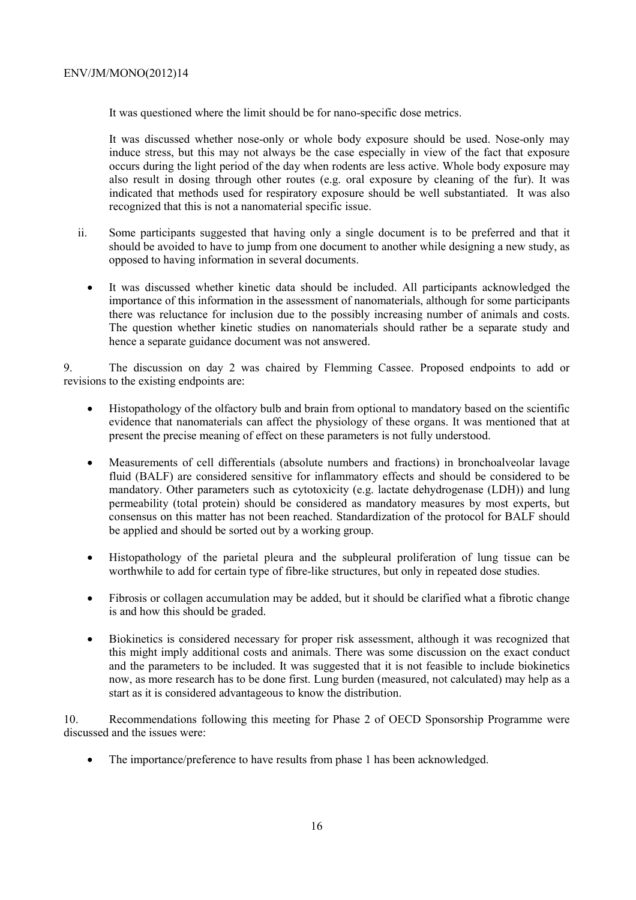It was questioned where the limit should be for nano-specific dose metrics.

It was discussed whether nose-only or whole body exposure should be used. Nose-only may induce stress, but this may not always be the case especially in view of the fact that exposure occurs during the light period of the day when rodents are less active. Whole body exposure may also result in dosing through other routes (e.g. oral exposure by cleaning of the fur). It was indicated that methods used for respiratory exposure should be well substantiated. It was also recognized that this is not a nanomaterial specific issue.

- ii. Some participants suggested that having only a single document is to be preferred and that it should be avoided to have to jump from one document to another while designing a new study, as opposed to having information in several documents.
	- It was discussed whether kinetic data should be included. All participants acknowledged the importance of this information in the assessment of nanomaterials, although for some participants there was reluctance for inclusion due to the possibly increasing number of animals and costs. The question whether kinetic studies on nanomaterials should rather be a separate study and hence a separate guidance document was not answered.

9. The discussion on day 2 was chaired by Flemming Cassee. Proposed endpoints to add or revisions to the existing endpoints are:

- Histopathology of the olfactory bulb and brain from optional to mandatory based on the scientific evidence that nanomaterials can affect the physiology of these organs. It was mentioned that at present the precise meaning of effect on these parameters is not fully understood.
- Measurements of cell differentials (absolute numbers and fractions) in bronchoalveolar lavage fluid (BALF) are considered sensitive for inflammatory effects and should be considered to be mandatory. Other parameters such as cytotoxicity (e.g. lactate dehydrogenase (LDH)) and lung permeability (total protein) should be considered as mandatory measures by most experts, but consensus on this matter has not been reached. Standardization of the protocol for BALF should be applied and should be sorted out by a working group.
- Histopathology of the parietal pleura and the subpleural proliferation of lung tissue can be worthwhile to add for certain type of fibre-like structures, but only in repeated dose studies.
- Fibrosis or collagen accumulation may be added, but it should be clarified what a fibrotic change is and how this should be graded.
- Biokinetics is considered necessary for proper risk assessment, although it was recognized that this might imply additional costs and animals. There was some discussion on the exact conduct and the parameters to be included. It was suggested that it is not feasible to include biokinetics now, as more research has to be done first. Lung burden (measured, not calculated) may help as a start as it is considered advantageous to know the distribution.

10. Recommendations following this meeting for Phase 2 of OECD Sponsorship Programme were discussed and the issues were:

The importance/preference to have results from phase 1 has been acknowledged.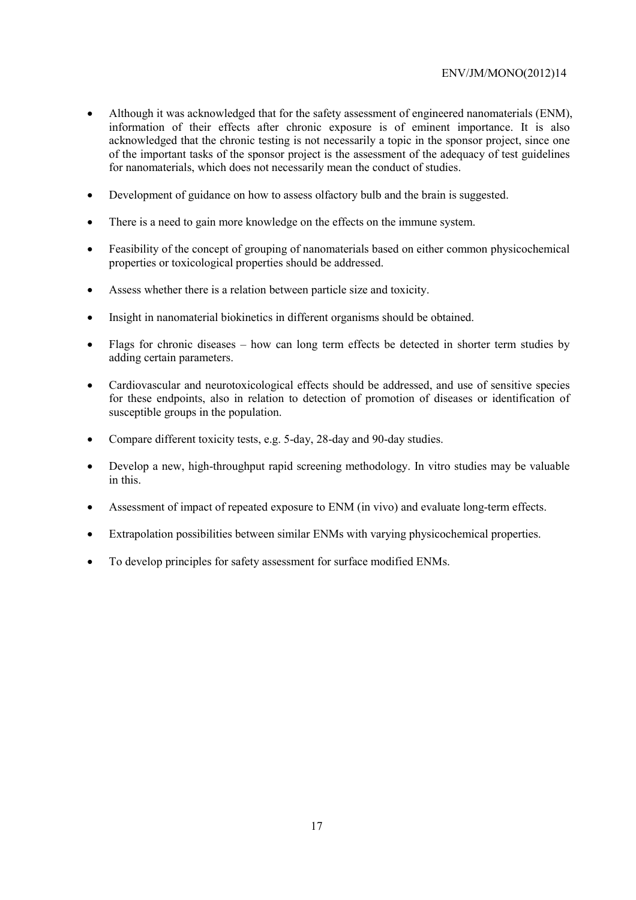- Although it was acknowledged that for the safety assessment of engineered nanomaterials (ENM), information of their effects after chronic exposure is of eminent importance. It is also acknowledged that the chronic testing is not necessarily a topic in the sponsor project, since one of the important tasks of the sponsor project is the assessment of the adequacy of test guidelines for nanomaterials, which does not necessarily mean the conduct of studies.
- Development of guidance on how to assess olfactory bulb and the brain is suggested.
- There is a need to gain more knowledge on the effects on the immune system.
- Feasibility of the concept of grouping of nanomaterials based on either common physicochemical properties or toxicological properties should be addressed.
- Assess whether there is a relation between particle size and toxicity.
- Insight in nanomaterial biokinetics in different organisms should be obtained.
- Flags for chronic diseases how can long term effects be detected in shorter term studies by adding certain parameters.
- Cardiovascular and neurotoxicological effects should be addressed, and use of sensitive species for these endpoints, also in relation to detection of promotion of diseases or identification of susceptible groups in the population.
- Compare different toxicity tests, e.g. 5-day, 28-day and 90-day studies.
- Develop a new, high-throughput rapid screening methodology. In vitro studies may be valuable in this.
- Assessment of impact of repeated exposure to ENM (in vivo) and evaluate long-term effects.
- Extrapolation possibilities between similar ENMs with varying physicochemical properties.
- To develop principles for safety assessment for surface modified ENMs.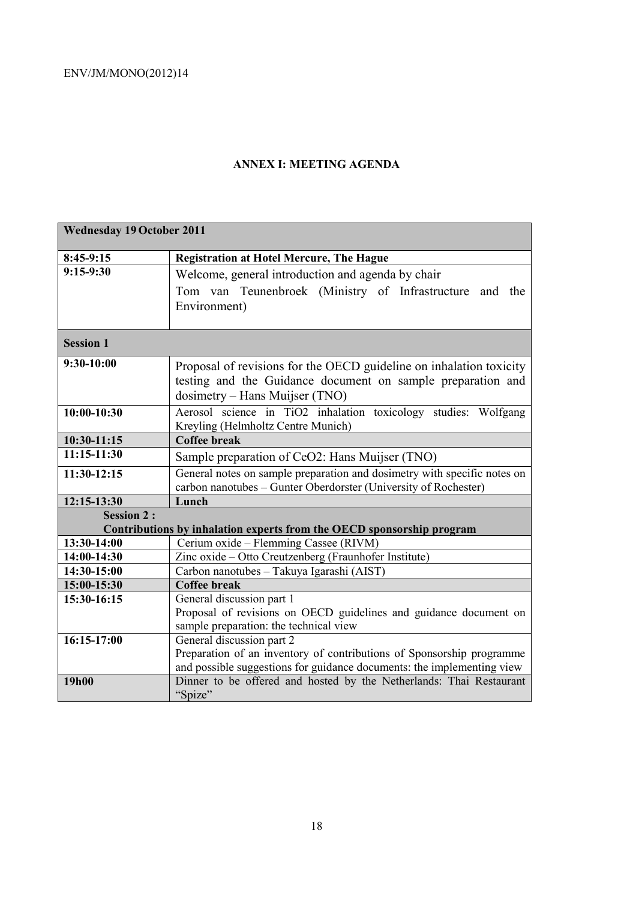### **ANNEX I: MEETING AGENDA**

| <b>Wednesday 19 October 2011</b> |                                                                                                                |
|----------------------------------|----------------------------------------------------------------------------------------------------------------|
| $8:45-9:15$                      | <b>Registration at Hotel Mercure, The Hague</b>                                                                |
| $9:15-9:30$                      | Welcome, general introduction and agenda by chair                                                              |
|                                  | Tom van Teunenbroek (Ministry of Infrastructure and the                                                        |
|                                  | Environment)                                                                                                   |
|                                  |                                                                                                                |
| <b>Session 1</b>                 |                                                                                                                |
| 9:30-10:00                       | Proposal of revisions for the OECD guideline on inhalation toxicity                                            |
|                                  | testing and the Guidance document on sample preparation and                                                    |
|                                  | dosimetry – Hans Muijser (TNO)                                                                                 |
| $10:00-10:30$                    | Aerosol science in TiO2 inhalation toxicology studies: Wolfgang                                                |
|                                  | Kreyling (Helmholtz Centre Munich)                                                                             |
| $10:30-11:15$                    | <b>Coffee break</b>                                                                                            |
| 11:15-11:30                      | Sample preparation of CeO2: Hans Muijser (TNO)                                                                 |
| 11:30-12:15                      | General notes on sample preparation and dosimetry with specific notes on                                       |
|                                  | carbon nanotubes - Gunter Oberdorster (University of Rochester)                                                |
| 12:15-13:30                      | Lunch                                                                                                          |
| <b>Session 2:</b>                |                                                                                                                |
| 13:30-14:00                      | Contributions by inhalation experts from the OECD sponsorship program<br>Cerium oxide - Flemming Cassee (RIVM) |
| 14:00-14:30                      | Zinc oxide - Otto Creutzenberg (Fraunhofer Institute)                                                          |
| 14:30-15:00                      | Carbon nanotubes - Takuya Igarashi (AIST)                                                                      |
| 15:00-15:30                      | <b>Coffee break</b>                                                                                            |
| 15:30-16:15                      | General discussion part 1                                                                                      |
|                                  | Proposal of revisions on OECD guidelines and guidance document on                                              |
|                                  | sample preparation: the technical view                                                                         |
| 16:15-17:00                      | General discussion part 2                                                                                      |
|                                  | Preparation of an inventory of contributions of Sponsorship programme                                          |
|                                  | and possible suggestions for guidance documents: the implementing view                                         |
| 19h00                            | Dinner to be offered and hosted by the Netherlands: Thai Restaurant<br>"Spize"                                 |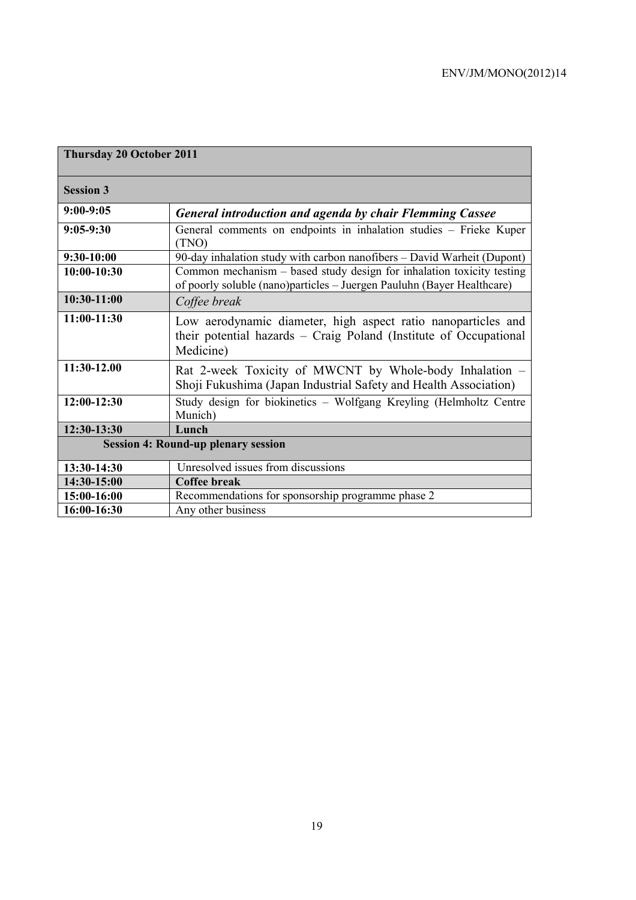| <b>Thursday 20 October 2011</b>            |                                                                                                                                                 |
|--------------------------------------------|-------------------------------------------------------------------------------------------------------------------------------------------------|
| <b>Session 3</b>                           |                                                                                                                                                 |
| $9:00-9:05$                                | <b>General introduction and agenda by chair Flemming Cassee</b>                                                                                 |
| $9:05-9:30$                                | General comments on endpoints in inhalation studies - Frieke Kuper<br>(TNO)                                                                     |
| $9:30-10:00$                               | 90-day inhalation study with carbon nanofibers - David Warheit (Dupont)                                                                         |
| $10:00-10:30$                              | Common mechanism – based study design for inhalation toxicity testing<br>of poorly soluble (nano)particles - Juergen Pauluhn (Bayer Healthcare) |
| $10:30-11:00$                              | Coffee break                                                                                                                                    |
| $11:00-11:30$                              | Low aerodynamic diameter, high aspect ratio nanoparticles and<br>their potential hazards - Craig Poland (Institute of Occupational<br>Medicine) |
| 11:30-12.00                                | Rat 2-week Toxicity of MWCNT by Whole-body Inhalation –<br>Shoji Fukushima (Japan Industrial Safety and Health Association)                     |
| $12:00-12:30$                              | Study design for biokinetics - Wolfgang Kreyling (Helmholtz Centre<br>Munich)                                                                   |
| 12:30-13:30                                | Lunch                                                                                                                                           |
| <b>Session 4: Round-up plenary session</b> |                                                                                                                                                 |
| 13:30-14:30                                | Unresolved issues from discussions                                                                                                              |
| 14:30-15:00                                | <b>Coffee break</b>                                                                                                                             |
| 15:00-16:00                                | Recommendations for sponsorship programme phase 2                                                                                               |
| 16:00-16:30                                | Any other business                                                                                                                              |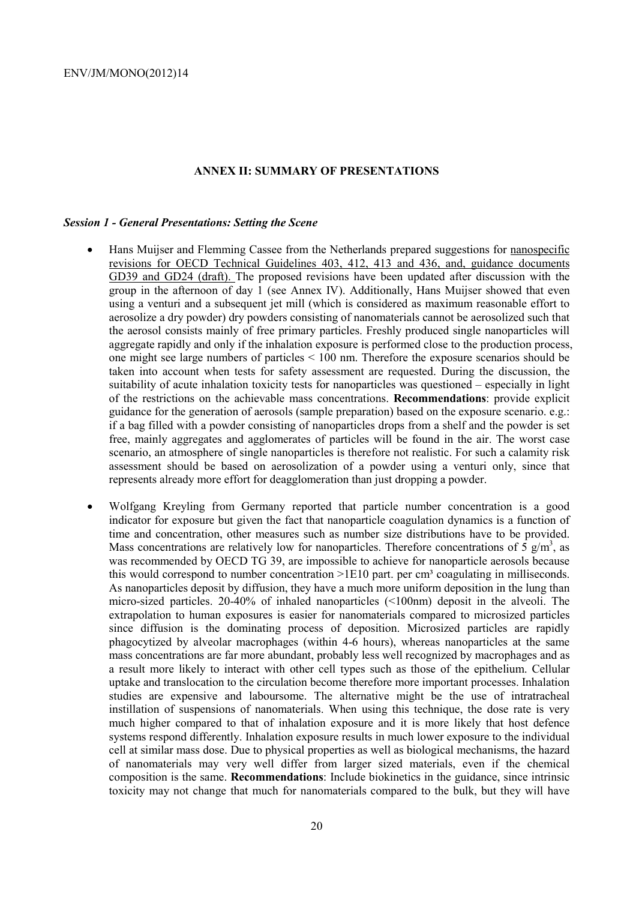### **ANNEX II: SUMMARY OF PRESENTATIONS**

#### *Session 1 - General Presentations: Setting the Scene*

- Hans Muijser and Flemming Cassee from the Netherlands prepared suggestions for nanospecific revisions for OECD Technical Guidelines 403, 412, 413 and 436, and, guidance documents GD39 and GD24 (draft). The proposed revisions have been updated after discussion with the group in the afternoon of day 1 (see Annex IV). Additionally, Hans Muijser showed that even using a venturi and a subsequent jet mill (which is considered as maximum reasonable effort to aerosolize a dry powder) dry powders consisting of nanomaterials cannot be aerosolized such that the aerosol consists mainly of free primary particles. Freshly produced single nanoparticles will aggregate rapidly and only if the inhalation exposure is performed close to the production process, one might see large numbers of particles < 100 nm. Therefore the exposure scenarios should be taken into account when tests for safety assessment are requested. During the discussion, the suitability of acute inhalation toxicity tests for nanoparticles was questioned – especially in light of the restrictions on the achievable mass concentrations. **Recommendations**: provide explicit guidance for the generation of aerosols (sample preparation) based on the exposure scenario. e.g.: if a bag filled with a powder consisting of nanoparticles drops from a shelf and the powder is set free, mainly aggregates and agglomerates of particles will be found in the air. The worst case scenario, an atmosphere of single nanoparticles is therefore not realistic. For such a calamity risk assessment should be based on aerosolization of a powder using a venturi only, since that represents already more effort for deagglomeration than just dropping a powder.
- Wolfgang Kreyling from Germany reported that particle number concentration is a good indicator for exposure but given the fact that nanoparticle coagulation dynamics is a function of time and concentration, other measures such as number size distributions have to be provided. Mass concentrations are relatively low for nanoparticles. Therefore concentrations of  $\frac{2}{5}$  g/m<sup>3</sup>, as was recommended by OECD TG 39, are impossible to achieve for nanoparticle aerosols because this would correspond to number concentration  $>1E10$  part. per cm<sup>3</sup> coagulating in milliseconds. As nanoparticles deposit by diffusion, they have a much more uniform deposition in the lung than micro-sized particles. 20-40% of inhaled nanoparticles (<100nm) deposit in the alveoli. The extrapolation to human exposures is easier for nanomaterials compared to microsized particles since diffusion is the dominating process of deposition. Microsized particles are rapidly phagocytized by alveolar macrophages (within 4-6 hours), whereas nanoparticles at the same mass concentrations are far more abundant, probably less well recognized by macrophages and as a result more likely to interact with other cell types such as those of the epithelium. Cellular uptake and translocation to the circulation become therefore more important processes. Inhalation studies are expensive and laboursome. The alternative might be the use of intratracheal instillation of suspensions of nanomaterials. When using this technique, the dose rate is very much higher compared to that of inhalation exposure and it is more likely that host defence systems respond differently. Inhalation exposure results in much lower exposure to the individual cell at similar mass dose. Due to physical properties as well as biological mechanisms, the hazard of nanomaterials may very well differ from larger sized materials, even if the chemical composition is the same. **Recommendations**: Include biokinetics in the guidance, since intrinsic toxicity may not change that much for nanomaterials compared to the bulk, but they will have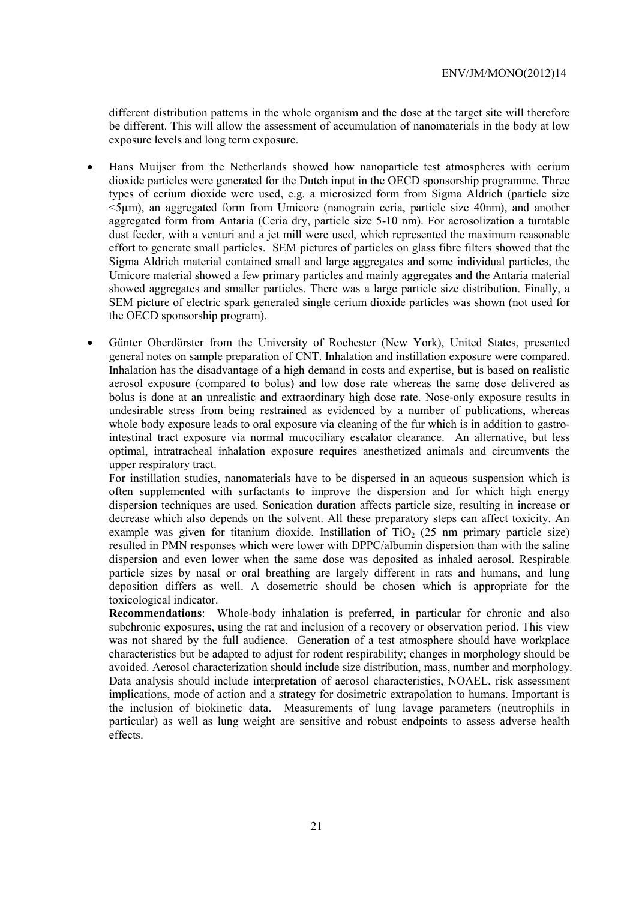different distribution patterns in the whole organism and the dose at the target site will therefore be different. This will allow the assessment of accumulation of nanomaterials in the body at low exposure levels and long term exposure.

- Hans Muijser from the Netherlands showed how nanoparticle test atmospheres with cerium dioxide particles were generated for the Dutch input in the OECD sponsorship programme. Three types of cerium dioxide were used, e.g. a microsized form from Sigma Aldrich (particle size <5µm), an aggregated form from Umicore (nanograin ceria, particle size 40nm), and another aggregated form from Antaria (Ceria dry, particle size 5-10 nm). For aerosolization a turntable dust feeder, with a venturi and a jet mill were used, which represented the maximum reasonable effort to generate small particles. SEM pictures of particles on glass fibre filters showed that the Sigma Aldrich material contained small and large aggregates and some individual particles, the Umicore material showed a few primary particles and mainly aggregates and the Antaria material showed aggregates and smaller particles. There was a large particle size distribution. Finally, a SEM picture of electric spark generated single cerium dioxide particles was shown (not used for the OECD sponsorship program).
- Günter Oberdörster from the University of Rochester (New York), United States, presented general notes on sample preparation of CNT. Inhalation and instillation exposure were compared. Inhalation has the disadvantage of a high demand in costs and expertise, but is based on realistic aerosol exposure (compared to bolus) and low dose rate whereas the same dose delivered as bolus is done at an unrealistic and extraordinary high dose rate. Nose-only exposure results in undesirable stress from being restrained as evidenced by a number of publications, whereas whole body exposure leads to oral exposure via cleaning of the fur which is in addition to gastrointestinal tract exposure via normal mucociliary escalator clearance. An alternative, but less optimal, intratracheal inhalation exposure requires anesthetized animals and circumvents the upper respiratory tract.

For instillation studies, nanomaterials have to be dispersed in an aqueous suspension which is often supplemented with surfactants to improve the dispersion and for which high energy dispersion techniques are used. Sonication duration affects particle size, resulting in increase or decrease which also depends on the solvent. All these preparatory steps can affect toxicity. An example was given for titanium dioxide. Instillation of  $TiO<sub>2</sub>$  (25 nm primary particle size) resulted in PMN responses which were lower with DPPC/albumin dispersion than with the saline dispersion and even lower when the same dose was deposited as inhaled aerosol. Respirable particle sizes by nasal or oral breathing are largely different in rats and humans, and lung deposition differs as well. A dosemetric should be chosen which is appropriate for the toxicological indicator.

**Recommendations**: Whole-body inhalation is preferred, in particular for chronic and also subchronic exposures, using the rat and inclusion of a recovery or observation period. This view was not shared by the full audience. Generation of a test atmosphere should have workplace characteristics but be adapted to adjust for rodent respirability; changes in morphology should be avoided. Aerosol characterization should include size distribution, mass, number and morphology. Data analysis should include interpretation of aerosol characteristics, NOAEL, risk assessment implications, mode of action and a strategy for dosimetric extrapolation to humans. Important is the inclusion of biokinetic data. Measurements of lung lavage parameters (neutrophils in particular) as well as lung weight are sensitive and robust endpoints to assess adverse health effects.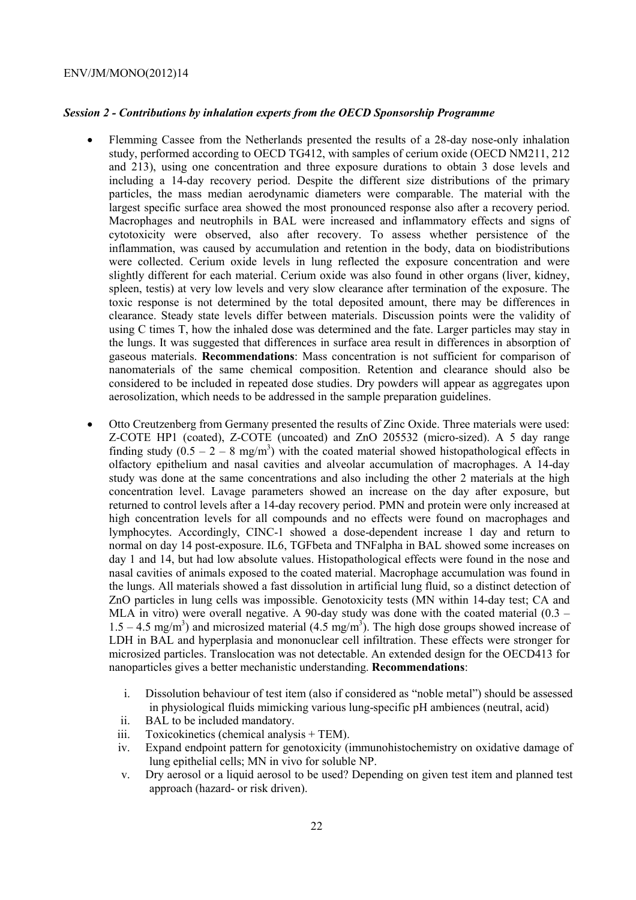### *Session 2 - Contributions by inhalation experts from the OECD Sponsorship Programme*

- Flemming Cassee from the Netherlands presented the results of a 28-day nose-only inhalation study, performed according to OECD TG412, with samples of cerium oxide (OECD NM211, 212 and 213), using one concentration and three exposure durations to obtain 3 dose levels and including a 14-day recovery period. Despite the different size distributions of the primary particles, the mass median aerodynamic diameters were comparable. The material with the largest specific surface area showed the most pronounced response also after a recovery period. Macrophages and neutrophils in BAL were increased and inflammatory effects and signs of cytotoxicity were observed, also after recovery. To assess whether persistence of the inflammation, was caused by accumulation and retention in the body, data on biodistributions were collected. Cerium oxide levels in lung reflected the exposure concentration and were slightly different for each material. Cerium oxide was also found in other organs (liver, kidney, spleen, testis) at very low levels and very slow clearance after termination of the exposure. The toxic response is not determined by the total deposited amount, there may be differences in clearance. Steady state levels differ between materials. Discussion points were the validity of using C times T, how the inhaled dose was determined and the fate. Larger particles may stay in the lungs. It was suggested that differences in surface area result in differences in absorption of gaseous materials. **Recommendations**: Mass concentration is not sufficient for comparison of nanomaterials of the same chemical composition. Retention and clearance should also be considered to be included in repeated dose studies. Dry powders will appear as aggregates upon aerosolization, which needs to be addressed in the sample preparation guidelines.
- Otto Creutzenberg from Germany presented the results of Zinc Oxide. Three materials were used: Z-COTE HP1 (coated), Z-COTE (uncoated) and ZnO 205532 (micro-sized). A 5 day range finding study  $(0.5 - 2 - 8 \text{ mg/m}^3)$  with the coated material showed histopathological effects in olfactory epithelium and nasal cavities and alveolar accumulation of macrophages. A 14-day study was done at the same concentrations and also including the other 2 materials at the high concentration level. Lavage parameters showed an increase on the day after exposure, but returned to control levels after a 14-day recovery period. PMN and protein were only increased at high concentration levels for all compounds and no effects were found on macrophages and lymphocytes. Accordingly, CINC-1 showed a dose-dependent increase 1 day and return to normal on day 14 post-exposure. IL6, TGFbeta and TNFalpha in BAL showed some increases on day 1 and 14, but had low absolute values. Histopathological effects were found in the nose and nasal cavities of animals exposed to the coated material. Macrophage accumulation was found in the lungs. All materials showed a fast dissolution in artificial lung fluid, so a distinct detection of ZnO particles in lung cells was impossible. Genotoxicity tests (MN within 14-day test; CA and MLA in vitro) were overall negative. A 90-day study was done with the coated material  $(0.3 1.5 - 4.5$  mg/m<sup>3</sup>) and microsized material  $(4.5 \text{ mg/m}^3)$ . The high dose groups showed increase of LDH in BAL and hyperplasia and mononuclear cell infiltration. These effects were stronger for microsized particles. Translocation was not detectable. An extended design for the OECD413 for nanoparticles gives a better mechanistic understanding. **Recommendations**:
	- i. Dissolution behaviour of test item (also if considered as "noble metal") should be assessed in physiological fluids mimicking various lung-specific pH ambiences (neutral, acid)
	- ii. BAL to be included mandatory.
	- iii. Toxicokinetics (chemical analysis + TEM).
	- iv. Expand endpoint pattern for genotoxicity (immunohistochemistry on oxidative damage of lung epithelial cells; MN in vivo for soluble NP.
	- v. Dry aerosol or a liquid aerosol to be used? Depending on given test item and planned test approach (hazard- or risk driven).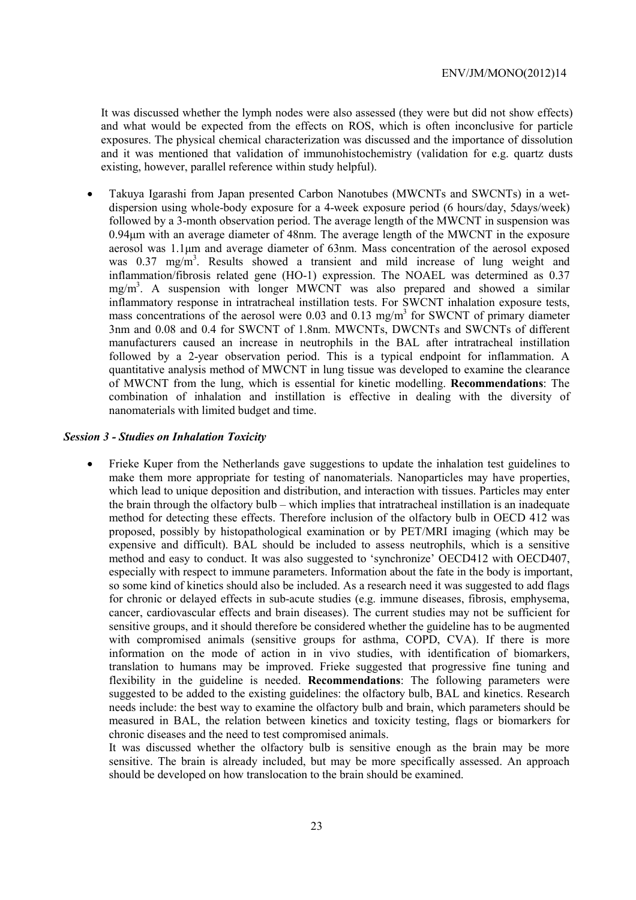It was discussed whether the lymph nodes were also assessed (they were but did not show effects) and what would be expected from the effects on ROS, which is often inconclusive for particle exposures. The physical chemical characterization was discussed and the importance of dissolution and it was mentioned that validation of immunohistochemistry (validation for e.g. quartz dusts existing, however, parallel reference within study helpful).

• Takuya Igarashi from Japan presented Carbon Nanotubes (MWCNTs and SWCNTs) in a wetdispersion using whole-body exposure for a 4-week exposure period (6 hours/day, 5days/week) followed by a 3-month observation period. The average length of the MWCNT in suspension was 0.94µm with an average diameter of 48nm. The average length of the MWCNT in the exposure aerosol was 1.1µm and average diameter of 63nm. Mass concentration of the aerosol exposed was 0.37 mg/m<sup>3</sup>. Results showed a transient and mild increase of lung weight and inflammation/fibrosis related gene (HO-1) expression. The NOAEL was determined as 0.37 mg/m<sup>3</sup>. A suspension with longer MWCNT was also prepared and showed a similar inflammatory response in intratracheal instillation tests. For SWCNT inhalation exposure tests, mass concentrations of the aerosol were  $0.03$  and  $0.13$  mg/m<sup>3</sup> for SWCNT of primary diameter 3nm and 0.08 and 0.4 for SWCNT of 1.8nm. MWCNTs, DWCNTs and SWCNTs of different manufacturers caused an increase in neutrophils in the BAL after intratracheal instillation followed by a 2-year observation period. This is a typical endpoint for inflammation. A quantitative analysis method of MWCNT in lung tissue was developed to examine the clearance of MWCNT from the lung, which is essential for kinetic modelling. **Recommendations**: The combination of inhalation and instillation is effective in dealing with the diversity of nanomaterials with limited budget and time.

#### *Session 3 - Studies on Inhalation Toxicity*

• Frieke Kuper from the Netherlands gave suggestions to update the inhalation test guidelines to make them more appropriate for testing of nanomaterials. Nanoparticles may have properties, which lead to unique deposition and distribution, and interaction with tissues. Particles may enter the brain through the olfactory bulb – which implies that intratracheal instillation is an inadequate method for detecting these effects. Therefore inclusion of the olfactory bulb in OECD 412 was proposed, possibly by histopathological examination or by PET/MRI imaging (which may be expensive and difficult). BAL should be included to assess neutrophils, which is a sensitive method and easy to conduct. It was also suggested to 'synchronize' OECD412 with OECD407, especially with respect to immune parameters. Information about the fate in the body is important, so some kind of kinetics should also be included. As a research need it was suggested to add flags for chronic or delayed effects in sub-acute studies (e.g. immune diseases, fibrosis, emphysema, cancer, cardiovascular effects and brain diseases). The current studies may not be sufficient for sensitive groups, and it should therefore be considered whether the guideline has to be augmented with compromised animals (sensitive groups for asthma, COPD, CVA). If there is more information on the mode of action in in vivo studies, with identification of biomarkers, translation to humans may be improved. Frieke suggested that progressive fine tuning and flexibility in the guideline is needed. **Recommendations**: The following parameters were suggested to be added to the existing guidelines: the olfactory bulb, BAL and kinetics. Research needs include: the best way to examine the olfactory bulb and brain, which parameters should be measured in BAL, the relation between kinetics and toxicity testing, flags or biomarkers for chronic diseases and the need to test compromised animals.

It was discussed whether the olfactory bulb is sensitive enough as the brain may be more sensitive. The brain is already included, but may be more specifically assessed. An approach should be developed on how translocation to the brain should be examined.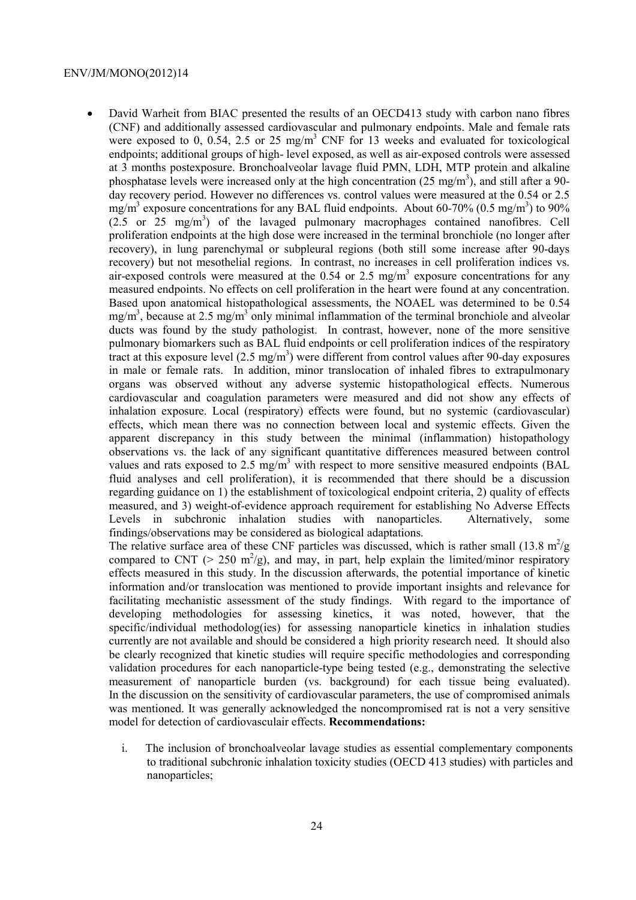• David Warheit from BIAC presented the results of an OECD413 study with carbon nano fibres (CNF) and additionally assessed cardiovascular and pulmonary endpoints. Male and female rats were exposed to 0, 0.54, 2.5 or 25 mg/m<sup>3</sup> CNF for 13 weeks and evaluated for toxicological endpoints; additional groups of high- level exposed, as well as air-exposed controls were assessed at 3 months postexposure. Bronchoalveolar lavage fluid PMN, LDH, MTP protein and alkaline phosphatase levels were increased only at the high concentration  $(25 \text{ mg/m}^3)$ , and still after a 90day recovery period. However no differences vs. control values were measured at the 0.54 or 2.5 mg/m<sup>3</sup> exposure concentrations for any BAL fluid endpoints. About 60-70% (0.5 mg/m<sup>3</sup>) to 90% (2.5 or 25 mg/m<sup>3</sup>) of the lavaged pulmonary macrophages contained nanofibres. Cell proliferation endpoints at the high dose were increased in the terminal bronchiole (no longer after recovery), in lung parenchymal or subpleural regions (both still some increase after 90-days recovery) but not mesothelial regions. In contrast, no increases in cell proliferation indices vs. air-exposed controls were measured at the  $0.54$  or  $2.5$  mg/m<sup>3</sup> exposure concentrations for any measured endpoints. No effects on cell proliferation in the heart were found at any concentration. Based upon anatomical histopathological assessments, the NOAEL was determined to be 0.54 mg/m<sup>3</sup>, because at 2.5 mg/m<sup>3</sup> only minimal inflammation of the terminal bronchiole and alveolar ducts was found by the study pathologist. In contrast, however, none of the more sensitive pulmonary biomarkers such as BAL fluid endpoints or cell proliferation indices of the respiratory tract at this exposure level  $(2.5 \text{ mg/m}^3)$  were different from control values after 90-day exposures in male or female rats. In addition, minor translocation of inhaled fibres to extrapulmonary organs was observed without any adverse systemic histopathological effects. Numerous cardiovascular and coagulation parameters were measured and did not show any effects of inhalation exposure. Local (respiratory) effects were found, but no systemic (cardiovascular) effects, which mean there was no connection between local and systemic effects. Given the apparent discrepancy in this study between the minimal (inflammation) histopathology observations vs. the lack of any significant quantitative differences measured between control values and rats exposed to 2.5 mg/m<sup>3</sup> with respect to more sensitive measured endpoints (BAL fluid analyses and cell proliferation), it is recommended that there should be a discussion regarding guidance on 1) the establishment of toxicological endpoint criteria, 2) quality of effects measured, and 3) weight-of-evidence approach requirement for establishing No Adverse Effects Levels in subchronic inhalation studies with nanoparticles. Alternatively, some findings/observations may be considered as biological adaptations.

The relative surface area of these CNF particles was discussed, which is rather small (13.8  $m^2/g$ ) compared to CNT ( $> 250$  m<sup>2</sup>/g), and may, in part, help explain the limited/minor respiratory effects measured in this study. In the discussion afterwards, the potential importance of kinetic information and/or translocation was mentioned to provide important insights and relevance for facilitating mechanistic assessment of the study findings. With regard to the importance of developing methodologies for assessing kinetics, it was noted, however, that the specific/individual methodolog(ies) for assessing nanoparticle kinetics in inhalation studies currently are not available and should be considered a high priority research need. It should also be clearly recognized that kinetic studies will require specific methodologies and corresponding validation procedures for each nanoparticle-type being tested (e.g., demonstrating the selective measurement of nanoparticle burden (vs. background) for each tissue being evaluated). In the discussion on the sensitivity of cardiovascular parameters, the use of compromised animals was mentioned. It was generally acknowledged the noncompromised rat is not a very sensitive model for detection of cardiovasculair effects. **Recommendations:**

i. The inclusion of bronchoalveolar lavage studies as essential complementary components to traditional subchronic inhalation toxicity studies (OECD 413 studies) with particles and nanoparticles;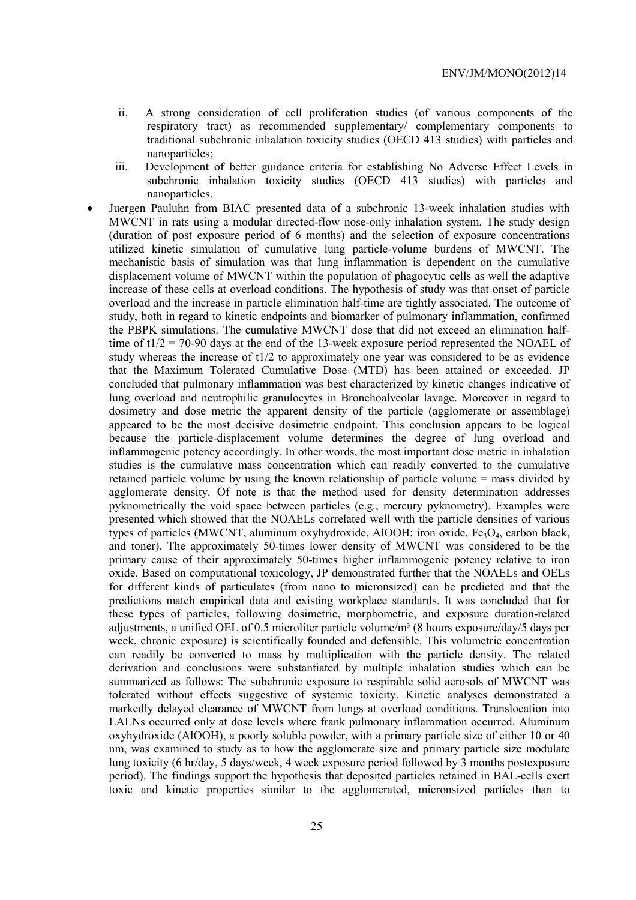- ii. A strong consideration of cell proliferation studies (of various components of the respiratory tract) as recommended supplementary/ complementary components to traditional subchronic inhalation toxicity studies (OECD 413 studies) with particles and nanoparticles;
- iii. Development of better guidance criteria for establishing No Adverse Effect Levels in subchronic inhalation toxicity studies (OECD 413 studies) with particles and nanoparticles.
- Juergen Pauluhn from BIAC presented data of a subchronic 13-week inhalation studies with MWCNT in rats using a modular directed-flow nose-only inhalation system. The study design (duration of post exposure period of 6 months) and the selection of exposure concentrations utilized kinetic simulation of cumulative lung particle-volume burdens of MWCNT. The mechanistic basis of simulation was that lung inflammation is dependent on the cumulative displacement volume of MWCNT within the population of phagocytic cells as well the adaptive increase of these cells at overload conditions. The hypothesis of study was that onset of particle overload and the increase in particle elimination half-time are tightly associated. The outcome of study, both in regard to kinetic endpoints and biomarker of pulmonary inflammation, confirmed the PBPK simulations. The cumulative MWCNT dose that did not exceed an elimination halftime of  $t/2 = 70-90$  days at the end of the 13-week exposure period represented the NOAEL of study whereas the increase of t1/2 to approximately one year was considered to be as evidence that the Maximum Tolerated Cumulative Dose (MTD) has been attained or exceeded. JP concluded that pulmonary inflammation was best characterized by kinetic changes indicative of lung overload and neutrophilic granulocytes in Bronchoalveolar lavage. Moreover in regard to dosimetry and dose metric the apparent density of the particle (agglomerate or assemblage) appeared to be the most decisive dosimetric endpoint. This conclusion appears to be logical because the particle-displacement volume determines the degree of lung overload and inflammogenic potency accordingly. In other words, the most important dose metric in inhalation studies is the cumulative mass concentration which can readily converted to the cumulative retained particle volume by using the known relationship of particle volume = mass divided by agglomerate density. Of note is that the method used for density determination addresses pyknometrically the void space between particles (e.g., mercury pyknometry). Examples were presented which showed that the NOAELs correlated well with the particle densities of various types of particles (MWCNT, aluminum oxyhydroxide, AlOOH; iron oxide, Fe<sub>3</sub>O<sub>4</sub>, carbon black, and toner). The approximately 50-times lower density of MWCNT was considered to be the primary cause of their approximately 50-times higher inflammogenic potency relative to iron oxide. Based on computational toxicology, JP demonstrated further that the NOAELs and OELs for different kinds of particulates (from nano to micronsized) can be predicted and that the predictions match empirical data and existing workplace standards. It was concluded that for these types of particles, following dosimetric, morphometric, and exposure duration-related adjustments, a unified OEL of 0.5 microliter particle volume/ $m<sup>3</sup>$  (8 hours exposure/day/5 days per week, chronic exposure) is scientifically founded and defensible. This volumetric concentration can readily be converted to mass by multiplication with the particle density. The related derivation and conclusions were substantiated by multiple inhalation studies which can be summarized as follows: The subchronic exposure to respirable solid aerosols of MWCNT was tolerated without effects suggestive of systemic toxicity. Kinetic analyses demonstrated a markedly delayed clearance of MWCNT from lungs at overload conditions. Translocation into LALNs occurred only at dose levels where frank pulmonary inflammation occurred. Aluminum oxyhydroxide (AlOOH), a poorly soluble powder, with a primary particle size of either 10 or 40 nm, was examined to study as to how the agglomerate size and primary particle size modulate lung toxicity (6 hr/day, 5 days/week, 4 week exposure period followed by 3 months postexposure period). The findings support the hypothesis that deposited particles retained in BAL-cells exert toxic and kinetic properties similar to the agglomerated, micronsized particles than to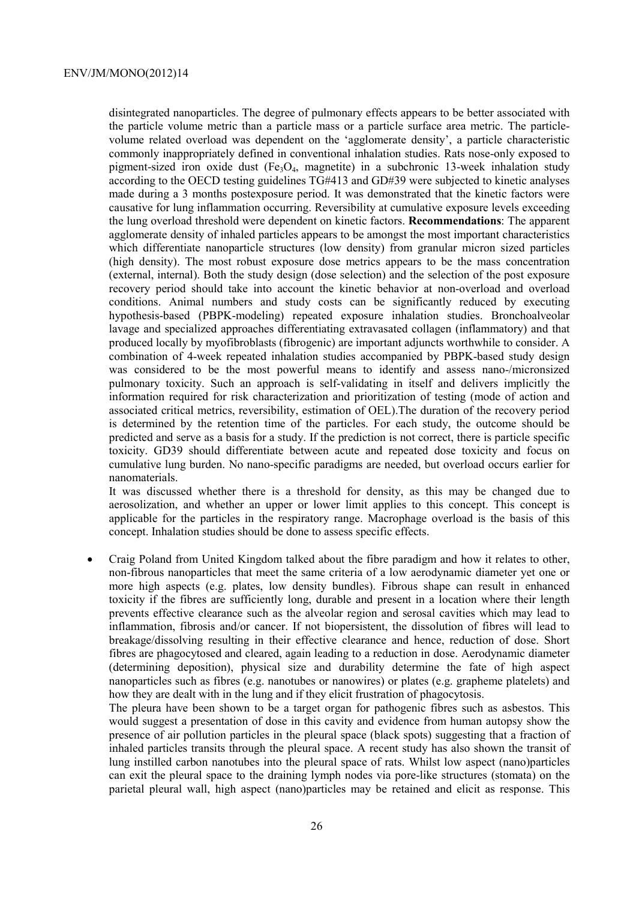disintegrated nanoparticles. The degree of pulmonary effects appears to be better associated with the particle volume metric than a particle mass or a particle surface area metric. The particlevolume related overload was dependent on the 'agglomerate density', a particle characteristic commonly inappropriately defined in conventional inhalation studies. Rats nose-only exposed to pigment-sized iron oxide dust  $(Fe_3O_4,$  magnetite) in a subchronic 13-week inhalation study according to the OECD testing guidelines TG#413 and GD#39 were subjected to kinetic analyses made during a 3 months postexposure period. It was demonstrated that the kinetic factors were causative for lung inflammation occurring. Reversibility at cumulative exposure levels exceeding the lung overload threshold were dependent on kinetic factors. **Recommendations**: The apparent agglomerate density of inhaled particles appears to be amongst the most important characteristics which differentiate nanoparticle structures (low density) from granular micron sized particles (high density). The most robust exposure dose metrics appears to be the mass concentration (external, internal). Both the study design (dose selection) and the selection of the post exposure recovery period should take into account the kinetic behavior at non-overload and overload conditions. Animal numbers and study costs can be significantly reduced by executing hypothesis-based (PBPK-modeling) repeated exposure inhalation studies. Bronchoalveolar lavage and specialized approaches differentiating extravasated collagen (inflammatory) and that produced locally by myofibroblasts (fibrogenic) are important adjuncts worthwhile to consider. A combination of 4-week repeated inhalation studies accompanied by PBPK-based study design was considered to be the most powerful means to identify and assess nano-/micronsized pulmonary toxicity. Such an approach is self-validating in itself and delivers implicitly the information required for risk characterization and prioritization of testing (mode of action and associated critical metrics, reversibility, estimation of OEL).The duration of the recovery period is determined by the retention time of the particles. For each study, the outcome should be predicted and serve as a basis for a study. If the prediction is not correct, there is particle specific toxicity. GD39 should differentiate between acute and repeated dose toxicity and focus on cumulative lung burden. No nano-specific paradigms are needed, but overload occurs earlier for nanomaterials.

It was discussed whether there is a threshold for density, as this may be changed due to aerosolization, and whether an upper or lower limit applies to this concept. This concept is applicable for the particles in the respiratory range. Macrophage overload is the basis of this concept. Inhalation studies should be done to assess specific effects.

• Craig Poland from United Kingdom talked about the fibre paradigm and how it relates to other, non-fibrous nanoparticles that meet the same criteria of a low aerodynamic diameter yet one or more high aspects (e.g. plates, low density bundles). Fibrous shape can result in enhanced toxicity if the fibres are sufficiently long, durable and present in a location where their length prevents effective clearance such as the alveolar region and serosal cavities which may lead to inflammation, fibrosis and/or cancer. If not biopersistent, the dissolution of fibres will lead to breakage/dissolving resulting in their effective clearance and hence, reduction of dose. Short fibres are phagocytosed and cleared, again leading to a reduction in dose. Aerodynamic diameter (determining deposition), physical size and durability determine the fate of high aspect nanoparticles such as fibres (e.g. nanotubes or nanowires) or plates (e.g. grapheme platelets) and how they are dealt with in the lung and if they elicit frustration of phagocytosis.

The pleura have been shown to be a target organ for pathogenic fibres such as asbestos. This would suggest a presentation of dose in this cavity and evidence from human autopsy show the presence of air pollution particles in the pleural space (black spots) suggesting that a fraction of inhaled particles transits through the pleural space. A recent study has also shown the transit of lung instilled carbon nanotubes into the pleural space of rats. Whilst low aspect (nano)particles can exit the pleural space to the draining lymph nodes via pore-like structures (stomata) on the parietal pleural wall, high aspect (nano)particles may be retained and elicit as response. This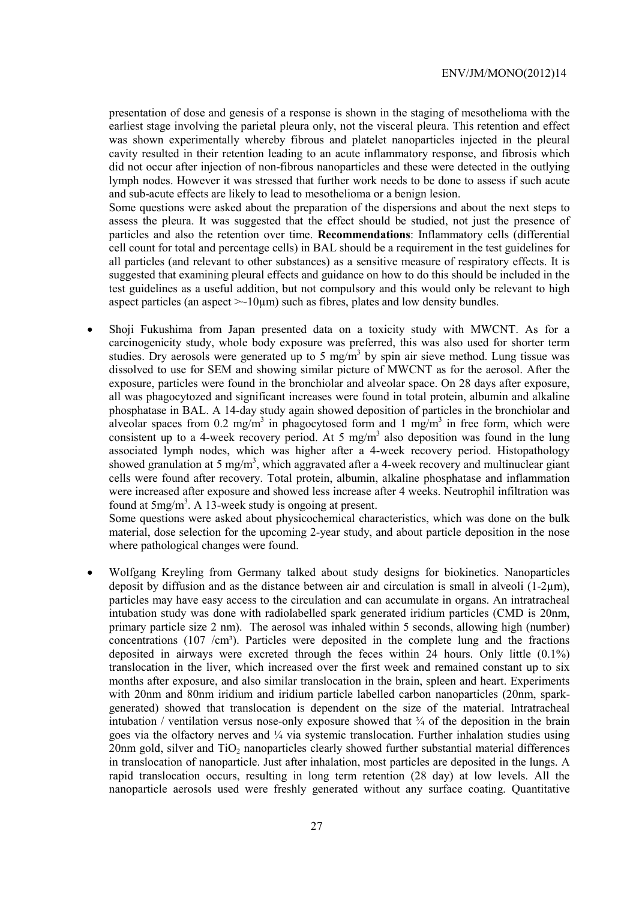presentation of dose and genesis of a response is shown in the staging of mesothelioma with the earliest stage involving the parietal pleura only, not the visceral pleura. This retention and effect was shown experimentally whereby fibrous and platelet nanoparticles injected in the pleural cavity resulted in their retention leading to an acute inflammatory response, and fibrosis which did not occur after injection of non-fibrous nanoparticles and these were detected in the outlying lymph nodes. However it was stressed that further work needs to be done to assess if such acute and sub-acute effects are likely to lead to mesothelioma or a benign lesion.

Some questions were asked about the preparation of the dispersions and about the next steps to assess the pleura. It was suggested that the effect should be studied, not just the presence of particles and also the retention over time. **Recommendations**: Inflammatory cells (differential cell count for total and percentage cells) in BAL should be a requirement in the test guidelines for all particles (and relevant to other substances) as a sensitive measure of respiratory effects. It is suggested that examining pleural effects and guidance on how to do this should be included in the test guidelines as a useful addition, but not compulsory and this would only be relevant to high aspect particles (an aspect  $\gg$  10 $\mu$ m) such as fibres, plates and low density bundles.

• Shoji Fukushima from Japan presented data on a toxicity study with MWCNT. As for a carcinogenicity study, whole body exposure was preferred, this was also used for shorter term studies. Dry aerosols were generated up to 5 mg/ $\text{m}^3$  by spin air sieve method. Lung tissue was dissolved to use for SEM and showing similar picture of MWCNT as for the aerosol. After the exposure, particles were found in the bronchiolar and alveolar space. On 28 days after exposure, all was phagocytozed and significant increases were found in total protein, albumin and alkaline phosphatase in BAL. A 14-day study again showed deposition of particles in the bronchiolar and alveolar spaces from 0.2 mg/m<sup>3</sup> in phagocytosed form and 1 mg/m<sup>3</sup> in free form, which were consistent up to a 4-week recovery period. At 5 mg/m<sup>3</sup> also deposition was found in the lung associated lymph nodes, which was higher after a 4-week recovery period. Histopathology showed granulation at 5 mg/m<sup>3</sup>, which aggravated after a 4-week recovery and multinuclear giant cells were found after recovery. Total protein, albumin, alkaline phosphatase and inflammation were increased after exposure and showed less increase after 4 weeks. Neutrophil infiltration was found at  $5mg/m<sup>3</sup>$ . A 13-week study is ongoing at present.

Some questions were asked about physicochemical characteristics, which was done on the bulk material, dose selection for the upcoming 2-year study, and about particle deposition in the nose where pathological changes were found.

• Wolfgang Kreyling from Germany talked about study designs for biokinetics. Nanoparticles deposit by diffusion and as the distance between air and circulation is small in alveoli (1-2µm), particles may have easy access to the circulation and can accumulate in organs. An intratracheal intubation study was done with radiolabelled spark generated iridium particles (CMD is 20nm, primary particle size 2 nm). The aerosol was inhaled within 5 seconds, allowing high (number) concentrations  $(107 \text{ cm}^3)$ . Particles were deposited in the complete lung and the fractions deposited in airways were excreted through the feces within 24 hours. Only little (0.1%) translocation in the liver, which increased over the first week and remained constant up to six months after exposure, and also similar translocation in the brain, spleen and heart. Experiments with 20nm and 80nm iridium and iridium particle labelled carbon nanoparticles (20nm, sparkgenerated) showed that translocation is dependent on the size of the material. Intratracheal intubation / ventilation versus nose-only exposure showed that  $\frac{3}{4}$  of the deposition in the brain goes via the olfactory nerves and ¼ via systemic translocation. Further inhalation studies using 20nm gold, silver and TiO<sub>2</sub> nanoparticles clearly showed further substantial material differences in translocation of nanoparticle. Just after inhalation, most particles are deposited in the lungs. A rapid translocation occurs, resulting in long term retention (28 day) at low levels. All the nanoparticle aerosols used were freshly generated without any surface coating. Quantitative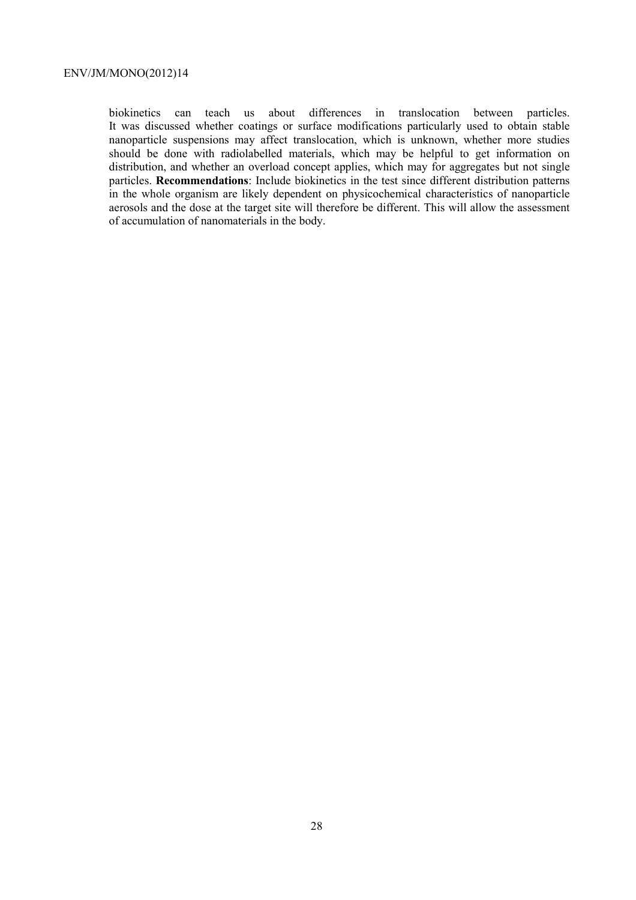biokinetics can teach us about differences in translocation between particles. It was discussed whether coatings or surface modifications particularly used to obtain stable nanoparticle suspensions may affect translocation, which is unknown, whether more studies should be done with radiolabelled materials, which may be helpful to get information on distribution, and whether an overload concept applies, which may for aggregates but not single particles. **Recommendations**: Include biokinetics in the test since different distribution patterns in the whole organism are likely dependent on physicochemical characteristics of nanoparticle aerosols and the dose at the target site will therefore be different. This will allow the assessment of accumulation of nanomaterials in the body.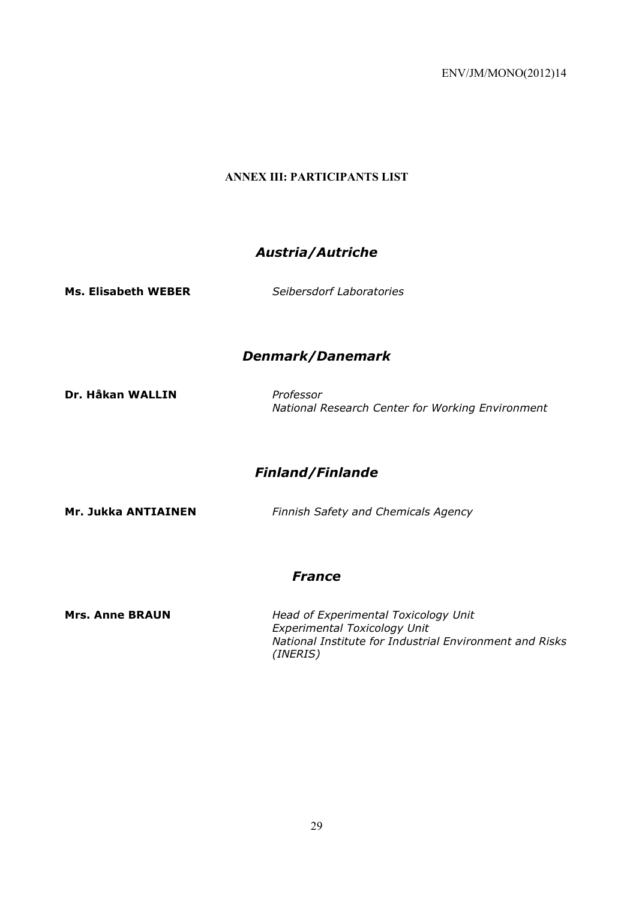### **ANNEX III: PARTICIPANTS LIST**

### *Austria/Autriche*

**Ms. Elisabeth WEBER** *Seibersdorf Laboratories*

### *Denmark/Danemark*

**Dr. Håkan WALLIN** *Professor National Research Center for Working Environment*

### *Finland/Finlande*

**Mr. Jukka ANTIAINEN** *Finnish Safety and Chemicals Agency*

### *France*

**Mrs. Anne BRAUN** *Head of Experimental Toxicology Unit Experimental Toxicology Unit National Institute for Industrial Environment and Risks (INERIS)*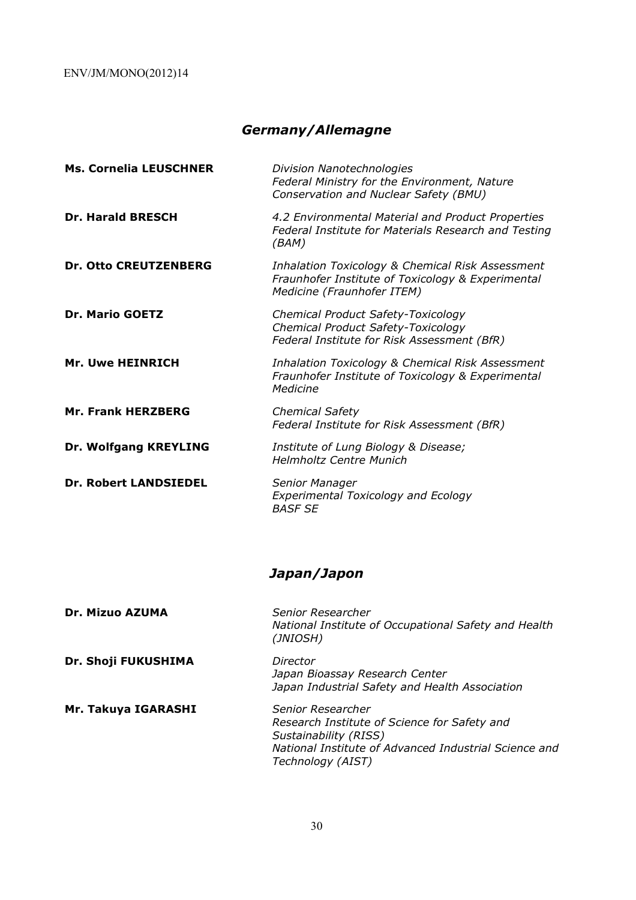## *Germany/Allemagne*

| <b>Ms. Cornelia LEUSCHNER</b> | Division Nanotechnologies<br>Federal Ministry for the Environment, Nature<br>Conservation and Nuclear Safety (BMU)                  |
|-------------------------------|-------------------------------------------------------------------------------------------------------------------------------------|
| <b>Dr. Harald BRESCH</b>      | 4.2 Environmental Material and Product Properties<br>Federal Institute for Materials Research and Testing<br>(BAM)                  |
| <b>Dr. Otto CREUTZENBERG</b>  | Inhalation Toxicology & Chemical Risk Assessment<br>Fraunhofer Institute of Toxicology & Experimental<br>Medicine (Fraunhofer ITEM) |
| <b>Dr. Mario GOETZ</b>        | Chemical Product Safety-Toxicology<br>Chemical Product Safety-Toxicology<br>Federal Institute for Risk Assessment (BfR)             |
| <b>Mr. Uwe HEINRICH</b>       | Inhalation Toxicology & Chemical Risk Assessment<br>Fraunhofer Institute of Toxicology & Experimental<br>Medicine                   |
| <b>Mr. Frank HERZBERG</b>     | <b>Chemical Safety</b><br>Federal Institute for Risk Assessment (BfR)                                                               |
| Dr. Wolfgang KREYLING         | Institute of Lung Biology & Disease;<br><b>Helmholtz Centre Munich</b>                                                              |
| <b>Dr. Robert LANDSIEDEL</b>  | Senior Manager<br><b>Experimental Toxicology and Ecology</b><br><b>BASE SE</b>                                                      |

## *Japan/Japon*

| <b>Dr. Mizuo AZUMA</b> | Senior Researcher<br>National Institute of Occupational Safety and Health<br>(JNIOSH)                                                                                    |
|------------------------|--------------------------------------------------------------------------------------------------------------------------------------------------------------------------|
| Dr. Shoji FUKUSHIMA    | Director<br>Japan Bioassay Research Center<br>Japan Industrial Safety and Health Association                                                                             |
| Mr. Takuya IGARASHI    | Senior Researcher<br>Research Institute of Science for Safety and<br>Sustainability (RISS)<br>National Institute of Advanced Industrial Science and<br>Technology (AIST) |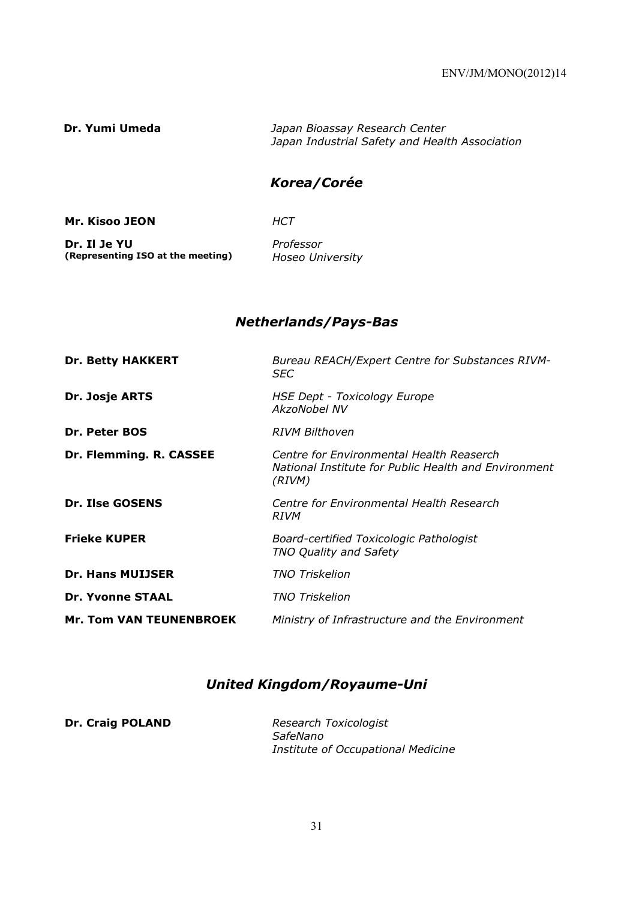**Dr. Yumi Umeda** *Japan Bioassay Research Center Japan Industrial Safety and Health Association*

## *Korea/Corée*

**Mr. Kisoo JEON** *HCT*

**Dr. Il Je YU (Representing ISO at the meeting)**  *Professor Hoseo University*

### *Netherlands/Pays-Bas*

| <b>Dr. Betty HAKKERT</b>       | <b>Bureau REACH/Expert Centre for Substances RIVM-</b><br><b>SEC</b>                                       |
|--------------------------------|------------------------------------------------------------------------------------------------------------|
| Dr. Josje ARTS                 | <b>HSE Dept - Toxicology Europe</b><br><b>AkzoNobel NV</b>                                                 |
| Dr. Peter BOS                  | <b>RIVM Bilthoven</b>                                                                                      |
| Dr. Flemming. R. CASSEE        | Centre for Environmental Health Reaserch<br>National Institute for Public Health and Environment<br>(RIVM) |
| <b>Dr. Ilse GOSENS</b>         | Centre for Environmental Health Research<br>RIVM                                                           |
| <b>Frieke KUPER</b>            | Board-certified Toxicologic Pathologist<br><b>TNO Quality and Safety</b>                                   |
| <b>Dr. Hans MUIJSER</b>        | <b>TNO Triskelion</b>                                                                                      |
| <b>Dr. Yvonne STAAL</b>        | TNO Triskelion                                                                                             |
| <b>Mr. Tom VAN TEUNENBROEK</b> | Ministry of Infrastructure and the Environment                                                             |

### *United Kingdom/Royaume-Uni*

**Dr. Craig POLAND** *Research Toxicologist SafeNano Institute of Occupational Medicine*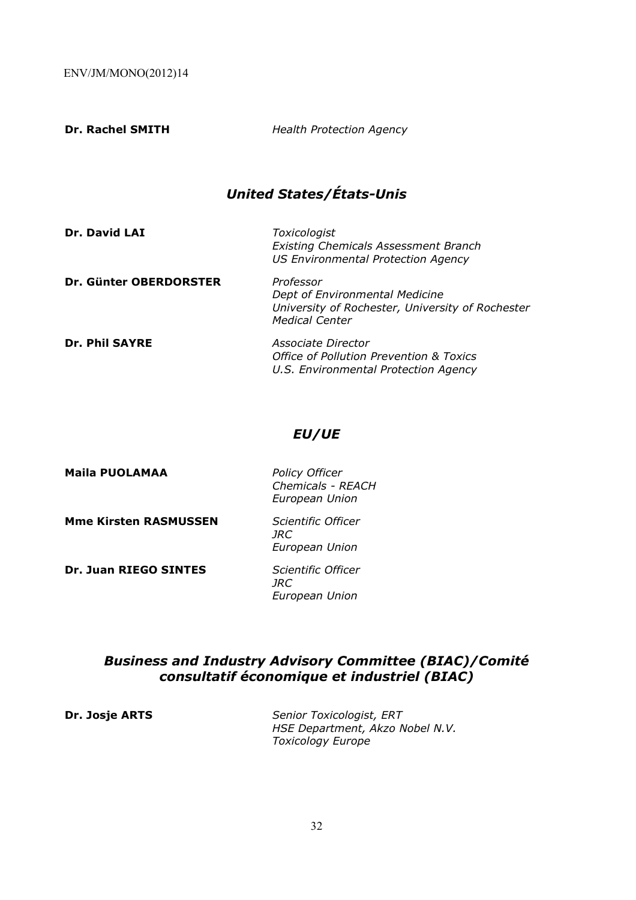| <b>Dr. Rachel SMITH</b> | <b>Health Protection Agency</b>                                                                                          |
|-------------------------|--------------------------------------------------------------------------------------------------------------------------|
|                         | <b>United States/États-Unis</b>                                                                                          |
| Dr. David LAI           | Toxicologist<br><b>Existing Chemicals Assessment Branch</b><br>US Environmental Protection Agency                        |
| Dr. Günter OBERDORSTER  | Professor<br>Dept of Environmental Medicine<br>University of Rochester, University of Rochester<br><b>Medical Center</b> |
| <b>Dr. Phil SAYRE</b>   | Associate Director<br>Office of Pollution Prevention & Toxics<br>U.S. Environmental Protection Agency                    |

### *EU/UE*

| Maila PUOLAMAA               | <b>Policy Officer</b><br>Chemicals - REACH<br>European Union |
|------------------------------|--------------------------------------------------------------|
| <b>Mme Kirsten RASMUSSEN</b> | Scientific Officer<br>IRC.<br>European Union                 |
| <b>Dr. Juan RIEGO SINTES</b> | Scientific Officer<br>JRC<br>European Union                  |

## *Business and Industry Advisory Committee (BIAC)/Comité consultatif économique et industriel (BIAC)*

**Dr. Josje ARTS** *Senior Toxicologist, ERT HSE Department, Akzo Nobel N.V. Toxicology Europe*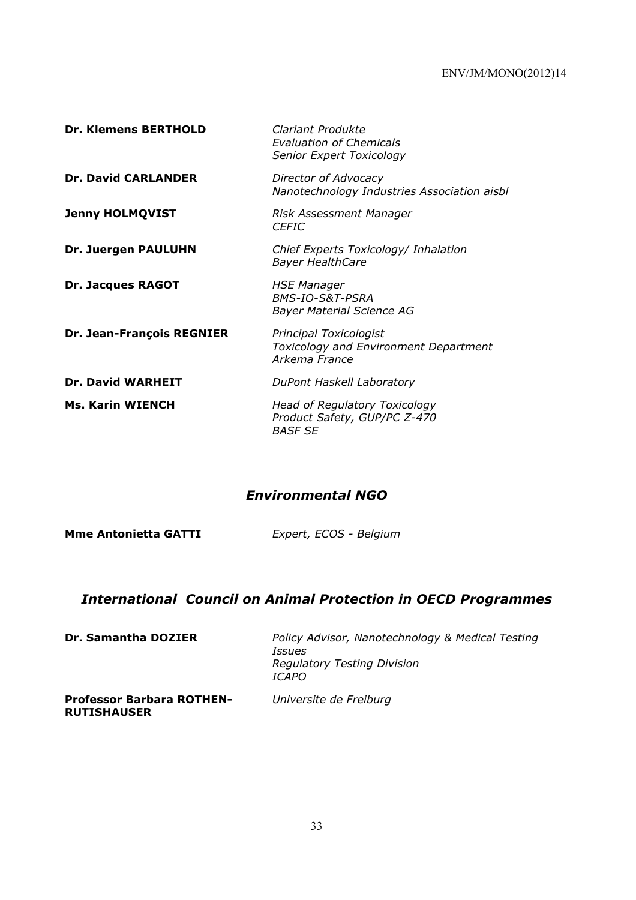| <b>Dr. Klemens BERTHOLD</b>      | Clariant Produkte<br><b>Evaluation of Chemicals</b><br>Senior Expert Toxicology        |
|----------------------------------|----------------------------------------------------------------------------------------|
| <b>Dr. David CARLANDER</b>       | Director of Advocacy<br>Nanotechnology Industries Association aisbl                    |
| <b>Jenny HOLMQVIST</b>           | Risk Assessment Manager<br>CFFIC                                                       |
| <b>Dr. Juergen PAULUHN</b>       | Chief Experts Toxicology/ Inhalation<br><b>Bayer HealthCare</b>                        |
| <b>Dr. Jacques RAGOT</b>         | <b>HSE Manager</b><br><b>BMS-IO-S&amp;T-PSRA</b><br><b>Bayer Material Science AG</b>   |
| <b>Dr. Jean-François REGNIER</b> | Principal Toxicologist<br>Toxicology and Environment Department<br>Arkema France       |
| <b>Dr. David WARHEIT</b>         | DuPont Haskell Laboratory                                                              |
| <b>Ms. Karin WIENCH</b>          | <b>Head of Regulatory Toxicology</b><br>Product Safety, GUP/PC Z-470<br><b>BASF SE</b> |

## *Environmental NGO*

**Mme Antonietta GATTI** *Expert, ECOS - Belgium*

# *International Council on Animal Protection in OECD Programmes*

| Dr. Samantha DOZIER                                    | Policy Advisor, Nanotechnology & Medical Testing<br><i>Issues</i><br><b>Regulatory Testing Division</b><br><i>ICAPO</i> |
|--------------------------------------------------------|-------------------------------------------------------------------------------------------------------------------------|
| <b>Professor Barbara ROTHEN-</b><br><b>RUTISHAUSER</b> | Universite de Freiburg                                                                                                  |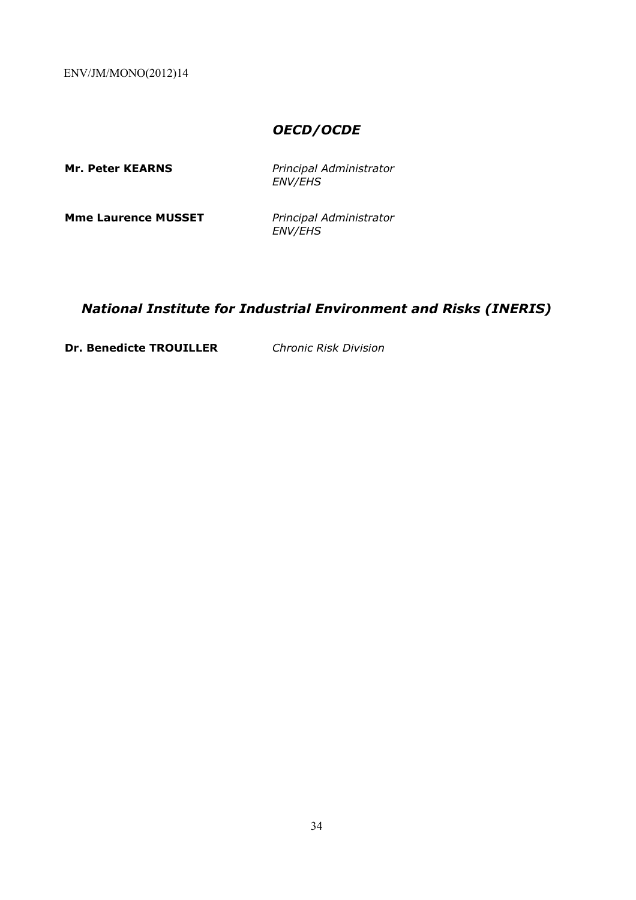### *OECD/OCDE*

**Mr. Peter KEARNS** *Principal Administrator ENV/EHS* 

**Mme Laurence MUSSET** *Principal Administrator* 

*ENV/EHS* 

### *National Institute for Industrial Environment and Risks (INERIS)*

**Dr. Benedicte TROUILLER** *Chronic Risk Division*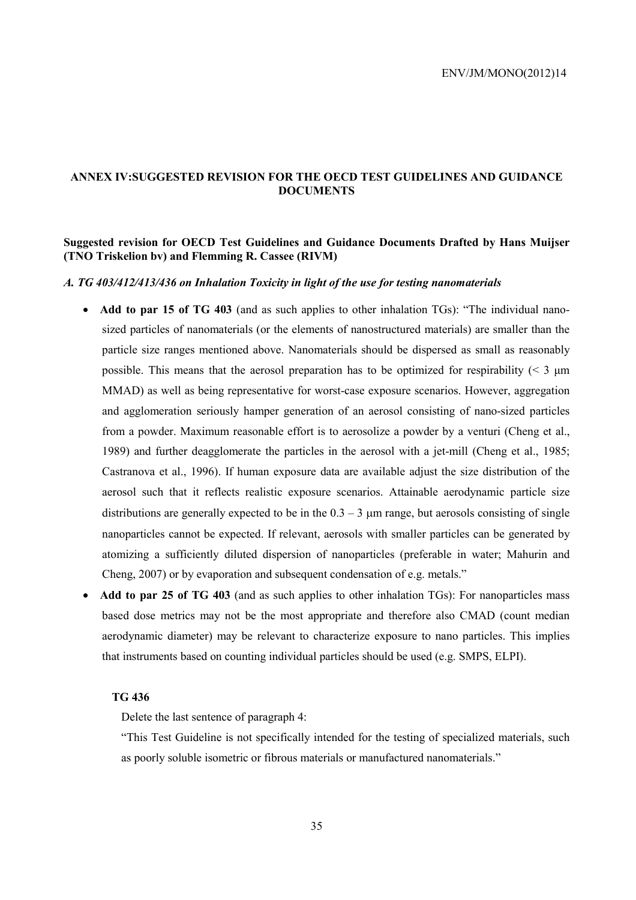### **ANNEX IV:SUGGESTED REVISION FOR THE OECD TEST GUIDELINES AND GUIDANCE DOCUMENTS**

### **Suggested revision for OECD Test Guidelines and Guidance Documents Drafted by Hans Muijser (TNO Triskelion bv) and Flemming R. Cassee (RIVM)**

#### *A. TG 403/412/413/436 on Inhalation Toxicity in light of the use for testing nanomaterials*

- **Add to par 15 of TG 403** (and as such applies to other inhalation TGs): "The individual nanosized particles of nanomaterials (or the elements of nanostructured materials) are smaller than the particle size ranges mentioned above. Nanomaterials should be dispersed as small as reasonably possible. This means that the aerosol preparation has to be optimized for respirability  $($ MMAD) as well as being representative for worst-case exposure scenarios. However, aggregation and agglomeration seriously hamper generation of an aerosol consisting of nano-sized particles from a powder. Maximum reasonable effort is to aerosolize a powder by a venturi (Cheng et al., 1989) and further deagglomerate the particles in the aerosol with a jet-mill (Cheng et al., 1985; Castranova et al., 1996). If human exposure data are available adjust the size distribution of the aerosol such that it reflects realistic exposure scenarios. Attainable aerodynamic particle size distributions are generally expected to be in the  $0.3 - 3$  µm range, but aerosols consisting of single nanoparticles cannot be expected. If relevant, aerosols with smaller particles can be generated by atomizing a sufficiently diluted dispersion of nanoparticles (preferable in water; Mahurin and Cheng, 2007) or by evaporation and subsequent condensation of e.g. metals."
- **Add to par 25 of TG 403** (and as such applies to other inhalation TGs): For nanoparticles mass based dose metrics may not be the most appropriate and therefore also CMAD (count median aerodynamic diameter) may be relevant to characterize exposure to nano particles. This implies that instruments based on counting individual particles should be used (e.g. SMPS, ELPI).

### **TG 436**

Delete the last sentence of paragraph 4:

"This Test Guideline is not specifically intended for the testing of specialized materials, such as poorly soluble isometric or fibrous materials or manufactured nanomaterials."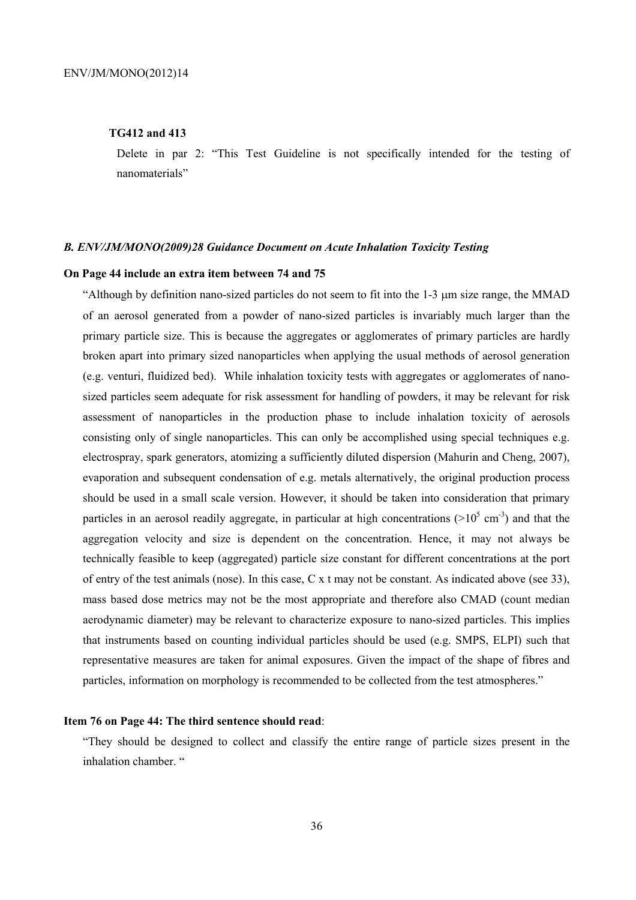#### **TG412 and 413**

Delete in par 2: "This Test Guideline is not specifically intended for the testing of nanomaterials"

#### *B. ENV/JM/MONO(2009)28 Guidance Document on Acute Inhalation Toxicity Testing*

#### **On Page 44 include an extra item between 74 and 75**

"Although by definition nano-sized particles do not seem to fit into the 1-3 µm size range, the MMAD of an aerosol generated from a powder of nano-sized particles is invariably much larger than the primary particle size. This is because the aggregates or agglomerates of primary particles are hardly broken apart into primary sized nanoparticles when applying the usual methods of aerosol generation (e.g. venturi, fluidized bed). While inhalation toxicity tests with aggregates or agglomerates of nanosized particles seem adequate for risk assessment for handling of powders, it may be relevant for risk assessment of nanoparticles in the production phase to include inhalation toxicity of aerosols consisting only of single nanoparticles. This can only be accomplished using special techniques e.g. electrospray, spark generators, atomizing a sufficiently diluted dispersion (Mahurin and Cheng, 2007), evaporation and subsequent condensation of e.g. metals alternatively, the original production process should be used in a small scale version. However, it should be taken into consideration that primary particles in an aerosol readily aggregate, in particular at high concentrations ( $>10^5$  cm<sup>-3</sup>) and that the aggregation velocity and size is dependent on the concentration. Hence, it may not always be technically feasible to keep (aggregated) particle size constant for different concentrations at the port of entry of the test animals (nose). In this case, C x t may not be constant. As indicated above (see 33), mass based dose metrics may not be the most appropriate and therefore also CMAD (count median aerodynamic diameter) may be relevant to characterize exposure to nano-sized particles. This implies that instruments based on counting individual particles should be used (e.g. SMPS, ELPI) such that representative measures are taken for animal exposures. Given the impact of the shape of fibres and particles, information on morphology is recommended to be collected from the test atmospheres."

### **Item 76 on Page 44: The third sentence should read**:

"They should be designed to collect and classify the entire range of particle sizes present in the inhalation chamber. "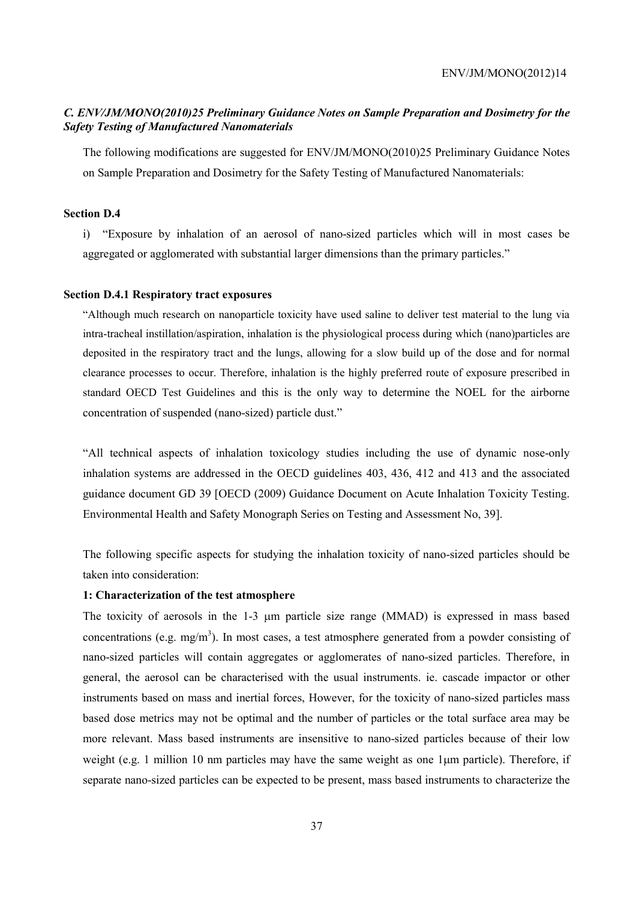### *C. ENV/JM/MONO(2010)25 Preliminary Guidance Notes on Sample Preparation and Dosimetry for the Safety Testing of Manufactured Nanomaterials*

The following modifications are suggested for ENV/JM/MONO(2010)25 Preliminary Guidance Notes on Sample Preparation and Dosimetry for the Safety Testing of Manufactured Nanomaterials:

#### **Section D.4**

i) "Exposure by inhalation of an aerosol of nano-sized particles which will in most cases be aggregated or agglomerated with substantial larger dimensions than the primary particles."

#### **Section D.4.1 Respiratory tract exposures**

"Although much research on nanoparticle toxicity have used saline to deliver test material to the lung via intra-tracheal instillation/aspiration, inhalation is the physiological process during which (nano)particles are deposited in the respiratory tract and the lungs, allowing for a slow build up of the dose and for normal clearance processes to occur. Therefore, inhalation is the highly preferred route of exposure prescribed in standard OECD Test Guidelines and this is the only way to determine the NOEL for the airborne concentration of suspended (nano-sized) particle dust."

"All technical aspects of inhalation toxicology studies including the use of dynamic nose-only inhalation systems are addressed in the OECD guidelines 403, 436, 412 and 413 and the associated guidance document GD 39 [OECD (2009) Guidance Document on Acute Inhalation Toxicity Testing. Environmental Health and Safety Monograph Series on Testing and Assessment No, 39].

The following specific aspects for studying the inhalation toxicity of nano-sized particles should be taken into consideration:

#### **1: Characterization of the test atmosphere**

The toxicity of aerosols in the 1-3 µm particle size range (MMAD) is expressed in mass based concentrations (e.g.  $mg/m<sup>3</sup>$ ). In most cases, a test atmosphere generated from a powder consisting of nano-sized particles will contain aggregates or agglomerates of nano-sized particles. Therefore, in general, the aerosol can be characterised with the usual instruments. ie. cascade impactor or other instruments based on mass and inertial forces, However, for the toxicity of nano-sized particles mass based dose metrics may not be optimal and the number of particles or the total surface area may be more relevant. Mass based instruments are insensitive to nano-sized particles because of their low weight (e.g. 1 million 10 nm particles may have the same weight as one 1 µm particle). Therefore, if separate nano-sized particles can be expected to be present, mass based instruments to characterize the